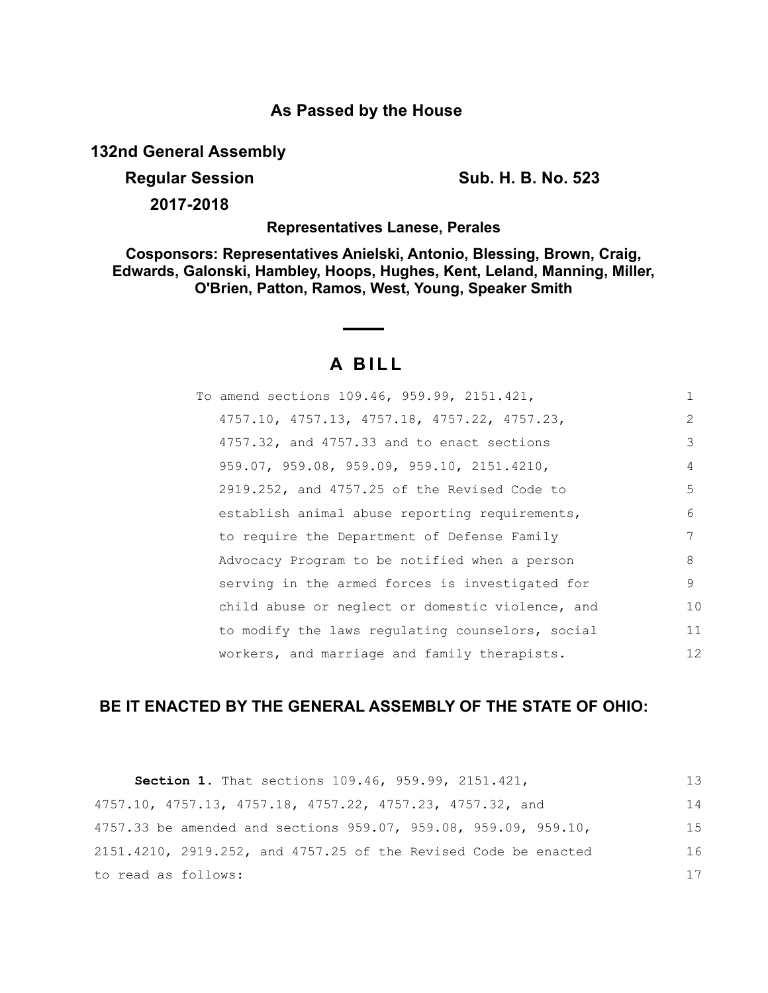## **As Passed by the House**

**132nd General Assembly**

**Regular Session Sub. H. B. No. 523**

**2017-2018**

**Representatives Lanese, Perales**

**Cosponsors: Representatives Anielski, Antonio, Blessing, Brown, Craig, Edwards, Galonski, Hambley, Hoops, Hughes, Kent, Leland, Manning, Miller, O'Brien, Patton, Ramos, West, Young, Speaker Smith**

# **A B I L L**

| To amend sections 109.46, 959.99, 2151.421,      |    |
|--------------------------------------------------|----|
| 4757.10, 4757.13, 4757.18, 4757.22, 4757.23,     | 2  |
| 4757.32, and 4757.33 and to enact sections       | 3  |
| 959.07, 959.08, 959.09, 959.10, 2151.4210,       | 4  |
| 2919.252, and 4757.25 of the Revised Code to     | 5  |
| establish animal abuse reporting requirements,   | 6  |
| to require the Department of Defense Family      | 7  |
| Advocacy Program to be notified when a person    | 8  |
| serving in the armed forces is investigated for  | 9  |
| child abuse or neglect or domestic violence, and | 10 |
| to modify the laws regulating counselors, social | 11 |
| workers, and marriage and family therapists.     | 12 |

## **BE IT ENACTED BY THE GENERAL ASSEMBLY OF THE STATE OF OHIO:**

| <b>Section 1.</b> That sections 109.46, 959.99, 2151.421,       | 13 |
|-----------------------------------------------------------------|----|
| 4757.10, 4757.13, 4757.18, 4757.22, 4757.23, 4757.32, and       | 14 |
| 4757.33 be amended and sections 959.07, 959.08, 959.09, 959.10, | 15 |
| 2151.4210, 2919.252, and 4757.25 of the Revised Code be enacted | 16 |
| to read as follows:                                             | 17 |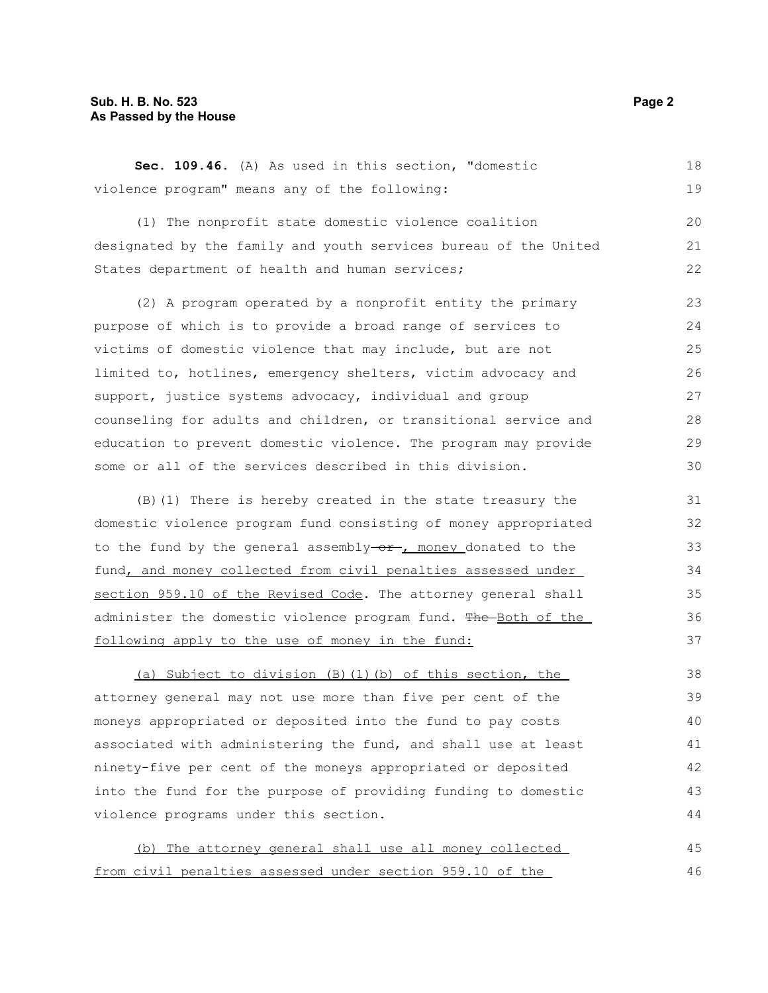#### **Sub. H. B. No. 523 Page 2 As Passed by the House**

| Sec. 109.46. (A) As used in this section, "domestic              | 18 |  |  |  |  |  |  |
|------------------------------------------------------------------|----|--|--|--|--|--|--|
| violence program" means any of the following:                    |    |  |  |  |  |  |  |
| (1) The nonprofit state domestic violence coalition              | 20 |  |  |  |  |  |  |
| designated by the family and youth services bureau of the United |    |  |  |  |  |  |  |
| States department of health and human services;                  | 22 |  |  |  |  |  |  |
| (2) A program operated by a nonprofit entity the primary         | 23 |  |  |  |  |  |  |
| purpose of which is to provide a broad range of services to      | 24 |  |  |  |  |  |  |
| victims of domestic violence that may include, but are not       | 25 |  |  |  |  |  |  |
| limited to, hotlines, emergency shelters, victim advocacy and    | 26 |  |  |  |  |  |  |
| support, justice systems advocacy, individual and group          | 27 |  |  |  |  |  |  |
| counseling for adults and children, or transitional service and  | 28 |  |  |  |  |  |  |
| education to prevent domestic violence. The program may provide  | 29 |  |  |  |  |  |  |
| some or all of the services described in this division.          | 30 |  |  |  |  |  |  |
| (B) (1) There is hereby created in the state treasury the        | 31 |  |  |  |  |  |  |
| domestic violence program fund consisting of money appropriated  | 32 |  |  |  |  |  |  |
| to the fund by the general assembly-or-, money_donated to the    | 33 |  |  |  |  |  |  |
| fund, and money collected from civil penalties assessed under    | 34 |  |  |  |  |  |  |
| section 959.10 of the Revised Code. The attorney general shall   | 35 |  |  |  |  |  |  |
| administer the domestic violence program fund. The Both of the   | 36 |  |  |  |  |  |  |
| following apply to the use of money in the fund:                 | 37 |  |  |  |  |  |  |

(a) Subject to division (B)(1)(b) of this section, the attorney general may not use more than five per cent of the moneys appropriated or deposited into the fund to pay costs associated with administering the fund, and shall use at least ninety-five per cent of the moneys appropriated or deposited into the fund for the purpose of providing funding to domestic violence programs under this section. 38 39 40 41 42 43 44

(b) The attorney general shall use all money collected from civil penalties assessed under section 959.10 of the 45 46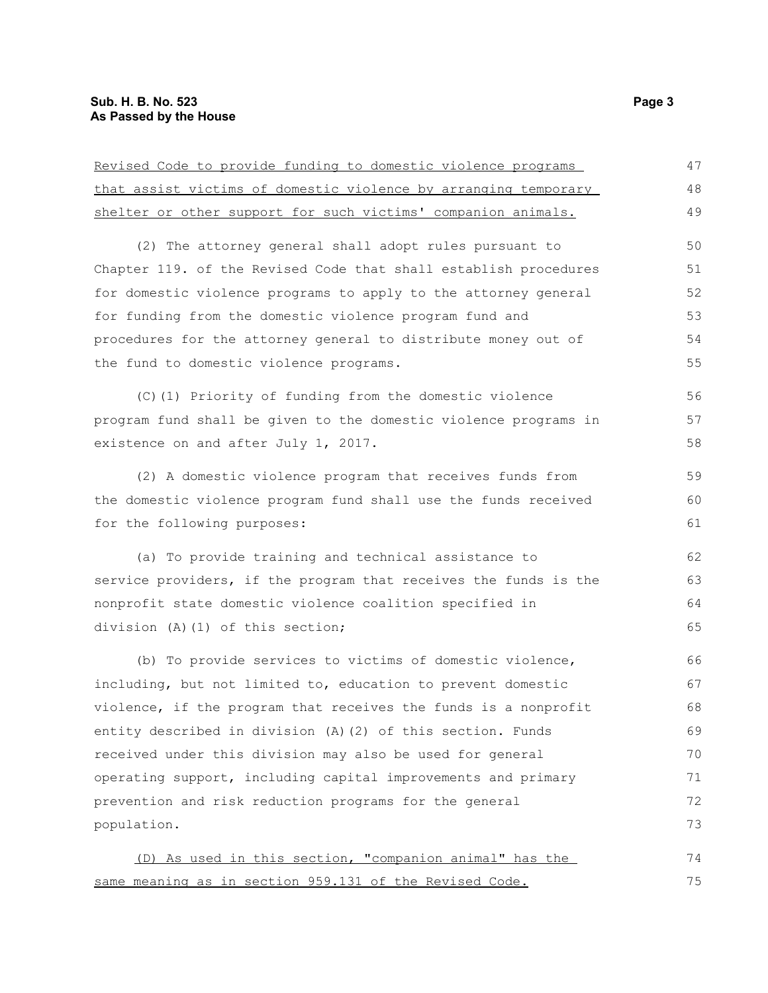| Revised Code to provide funding to domestic violence programs    | 47 |  |  |  |  |  |
|------------------------------------------------------------------|----|--|--|--|--|--|
| that assist victims of domestic violence by arranging temporary  | 48 |  |  |  |  |  |
| shelter or other support for such victims' companion animals.    | 49 |  |  |  |  |  |
| (2) The attorney general shall adopt rules pursuant to           | 50 |  |  |  |  |  |
| Chapter 119. of the Revised Code that shall establish procedures | 51 |  |  |  |  |  |
| for domestic violence programs to apply to the attorney general  | 52 |  |  |  |  |  |
| for funding from the domestic violence program fund and          | 53 |  |  |  |  |  |
| procedures for the attorney general to distribute money out of   | 54 |  |  |  |  |  |
| the fund to domestic violence programs.                          | 55 |  |  |  |  |  |
| (C) (1) Priority of funding from the domestic violence           | 56 |  |  |  |  |  |
| program fund shall be given to the domestic violence programs in | 57 |  |  |  |  |  |
| existence on and after July 1, 2017.                             | 58 |  |  |  |  |  |
| (2) A domestic violence program that receives funds from         | 59 |  |  |  |  |  |
| the domestic violence program fund shall use the funds received  | 60 |  |  |  |  |  |
| for the following purposes:                                      | 61 |  |  |  |  |  |
| (a) To provide training and technical assistance to              | 62 |  |  |  |  |  |
| service providers, if the program that receives the funds is the | 63 |  |  |  |  |  |
| nonprofit state domestic violence coalition specified in         |    |  |  |  |  |  |
| division (A)(1) of this section;                                 | 65 |  |  |  |  |  |
| (b) To provide services to victims of domestic violence,         | 66 |  |  |  |  |  |
| including, but not limited to, education to prevent domestic     | 67 |  |  |  |  |  |
| violence, if the program that receives the funds is a nonprofit  | 68 |  |  |  |  |  |
| entity described in division (A) (2) of this section. Funds      | 69 |  |  |  |  |  |
| received under this division may also be used for general        | 70 |  |  |  |  |  |
| operating support, including capital improvements and primary    | 71 |  |  |  |  |  |
| prevention and risk reduction programs for the general           | 72 |  |  |  |  |  |
| population.                                                      | 73 |  |  |  |  |  |
| (D) As used in this section, "companion animal" has the          | 74 |  |  |  |  |  |
| same meaning as in section 959.131 of the Revised Code.          | 75 |  |  |  |  |  |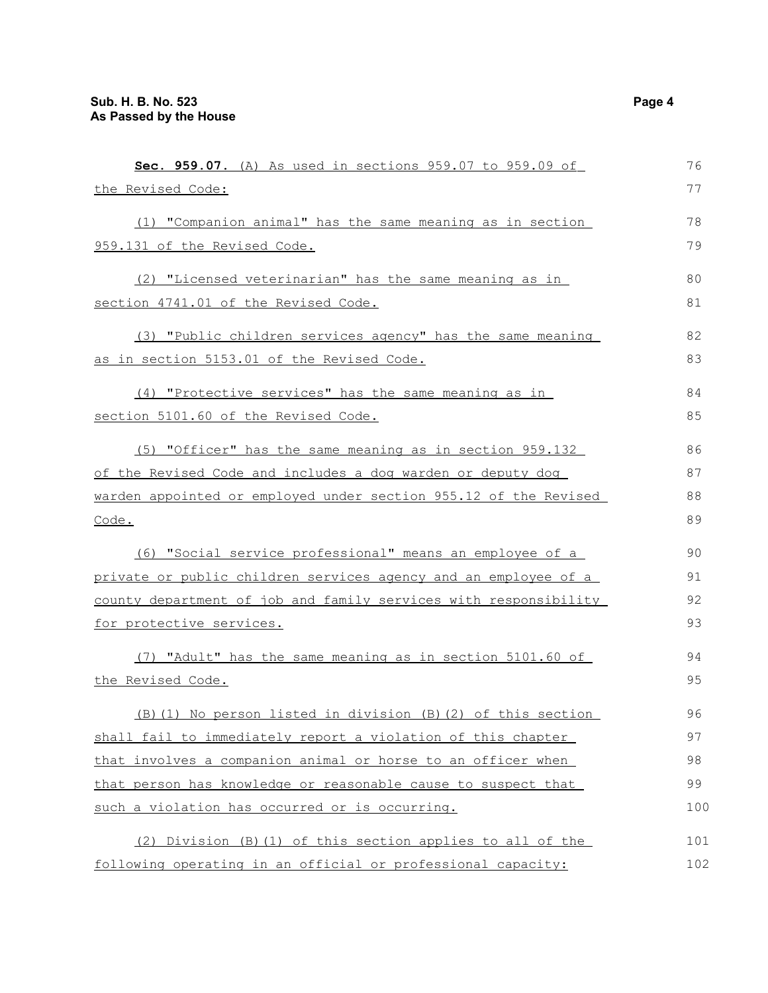| Sec. 959.07. (A) As used in sections 959.07 to 959.09 of         | 76  |
|------------------------------------------------------------------|-----|
| the Revised Code:                                                | 77  |
| (1) "Companion animal" has the same meaning as in section        | 78  |
| 959.131 of the Revised Code.                                     | 79  |
|                                                                  |     |
| (2) "Licensed veterinarian" has the same meaning as in           | 80  |
| section 4741.01 of the Revised Code.                             | 81  |
| (3) "Public children services agency" has the same meaning       | 82  |
| as in section 5153.01 of the Revised Code.                       | 83  |
| (4) "Protective services" has the same meaning as in             | 84  |
| section 5101.60 of the Revised Code.                             | 85  |
| (5) "Officer" has the same meaning as in section 959.132         | 86  |
| of the Revised Code and includes a dog warden or deputy dog      | 87  |
| warden appointed or employed under section 955.12 of the Revised | 88  |
| Code.                                                            | 89  |
| (6) "Social service professional" means an employee of a         | 90  |
| private or public children services agency and an employee of a  | 91  |
| county department of job and family services with responsibility | 92  |
| for protective services.                                         | 93  |
| (7) "Adult" has the same meaning as in section 5101.60 of        | 94  |
| the Revised Code.                                                | 95  |
| (B)(1) No person listed in division (B)(2) of this section       | 96  |
| shall fail to immediately report a violation of this chapter     | 97  |
| that involves a companion animal or horse to an officer when     | 98  |
| that person has knowledge or reasonable cause to suspect that    | 99  |
| such a violation has occurred or is occurring.                   | 100 |
| (2) Division (B) (1) of this section applies to all of the       | 101 |
| following operating in an official or professional capacity:     | 102 |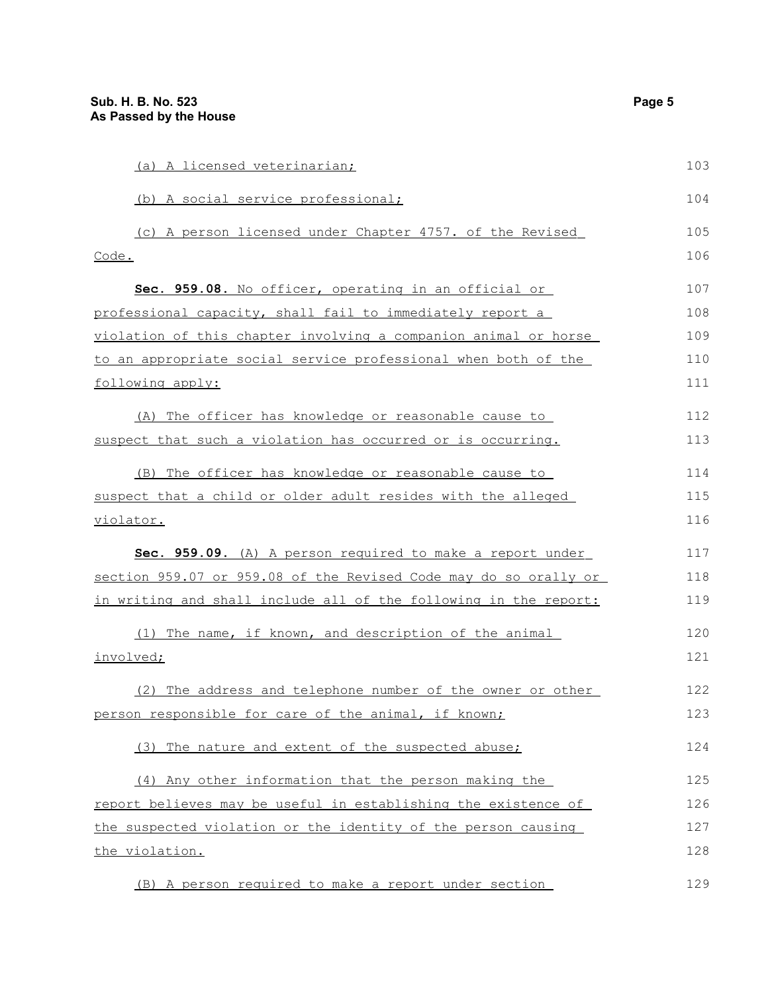| (a) A licensed veterinarian;                                     | 103 |  |  |  |  |
|------------------------------------------------------------------|-----|--|--|--|--|
| (b) A social service professional;                               | 104 |  |  |  |  |
| (c) A person licensed under Chapter 4757. of the Revised         | 105 |  |  |  |  |
| Code.                                                            | 106 |  |  |  |  |
| Sec. 959.08. No officer, operating in an official or             | 107 |  |  |  |  |
| professional capacity, shall fail to immediately report a        | 108 |  |  |  |  |
| violation of this chapter involving a companion animal or horse  | 109 |  |  |  |  |
| to an appropriate social service professional when both of the   | 110 |  |  |  |  |
| following apply:                                                 | 111 |  |  |  |  |
| (A) The officer has knowledge or reasonable cause to             | 112 |  |  |  |  |
| suspect that such a violation has occurred or is occurring.      | 113 |  |  |  |  |
| (B) The officer has knowledge or reasonable cause to             | 114 |  |  |  |  |
| suspect that a child or older adult resides with the alleged     |     |  |  |  |  |
| <u>violator.</u>                                                 | 116 |  |  |  |  |
| Sec. 959.09. (A) A person required to make a report under        | 117 |  |  |  |  |
| section 959.07 or 959.08 of the Revised Code may do so orally or | 118 |  |  |  |  |
| in writing and shall include all of the following in the report: | 119 |  |  |  |  |
| (1) The name, if known, and description of the animal            | 120 |  |  |  |  |
| involved;                                                        | 121 |  |  |  |  |
| (2) The address and telephone number of the owner or other       | 122 |  |  |  |  |
| person responsible for care of the animal, if known;             | 123 |  |  |  |  |
| (3) The nature and extent of the suspected abuse;                | 124 |  |  |  |  |
| (4) Any other information that the person making the             | 125 |  |  |  |  |
| report believes may be useful in establishing the existence of   | 126 |  |  |  |  |
| the suspected violation or the identity of the person causing    | 127 |  |  |  |  |
| the violation.                                                   | 128 |  |  |  |  |
| (B) A person required to make a report under section             | 129 |  |  |  |  |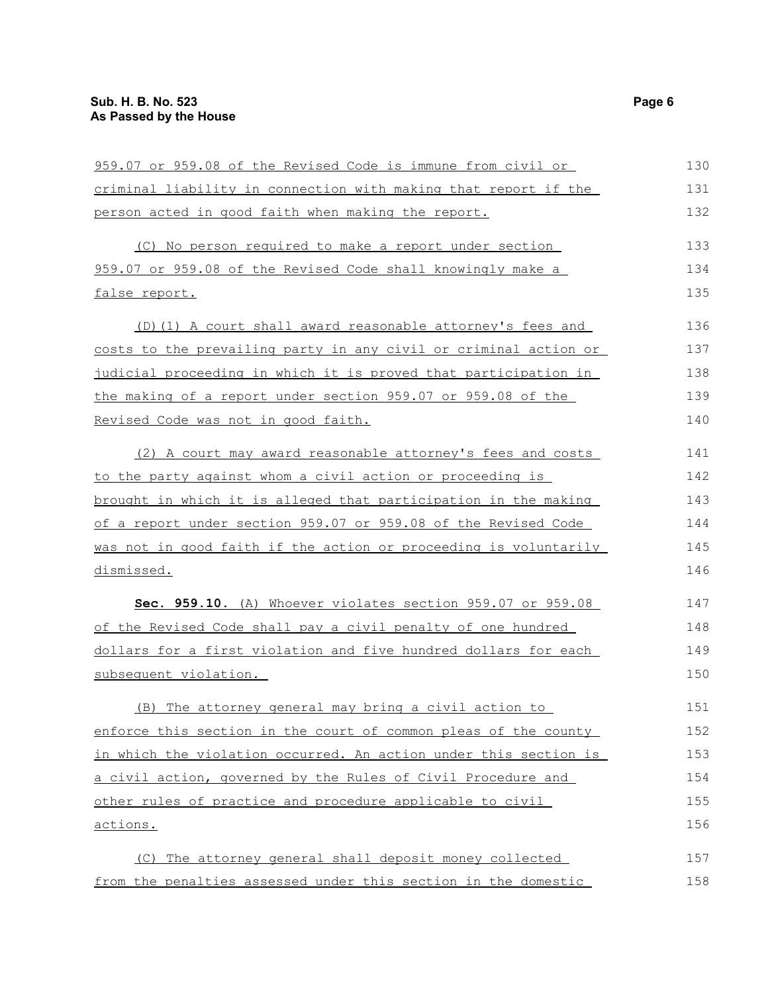| 959.07 or 959.08 of the Revised Code is immune from civil or     | 130 |
|------------------------------------------------------------------|-----|
| criminal liability in connection with making that report if the  | 131 |
| person acted in good faith when making the report.               | 132 |
| (C) No person required to make a report under section            | 133 |
| 959.07 or 959.08 of the Revised Code shall knowingly make a      | 134 |
| false report.                                                    | 135 |
| (D)(1) A court shall award reasonable attorney's fees and        | 136 |
| costs to the prevailing party in any civil or criminal action or | 137 |
| judicial proceeding in which it is proved that participation in  | 138 |
| the making of a report under section 959.07 or 959.08 of the     | 139 |
| Revised Code was not in good faith.                              | 140 |
| (2) A court may award reasonable attorney's fees and costs       | 141 |
| to the party against whom a civil action or proceeding is        | 142 |
| brought in which it is alleged that participation in the making  | 143 |
| of a report under section 959.07 or 959.08 of the Revised Code   | 144 |
| was not in good faith if the action or proceeding is voluntarily | 145 |
| dismissed.                                                       | 146 |
| Sec. 959.10. (A) Whoever violates section 959.07 or 959.08       | 147 |
| of the Revised Code shall pay a civil penalty of one hundred     | 148 |
| dollars for a first violation and five hundred dollars for each  | 149 |
| subsequent violation.                                            | 150 |
| (B) The attorney general may bring a civil action to             | 151 |
| enforce this section in the court of common pleas of the county  | 152 |
| in which the violation occurred. An action under this section is | 153 |
| a civil action, governed by the Rules of Civil Procedure and     | 154 |
| other rules of practice and procedure applicable to civil        | 155 |
| actions.                                                         | 156 |
| (C) The attorney general shall deposit money collected           | 157 |
| from the penalties assessed under this section in the domestic   | 158 |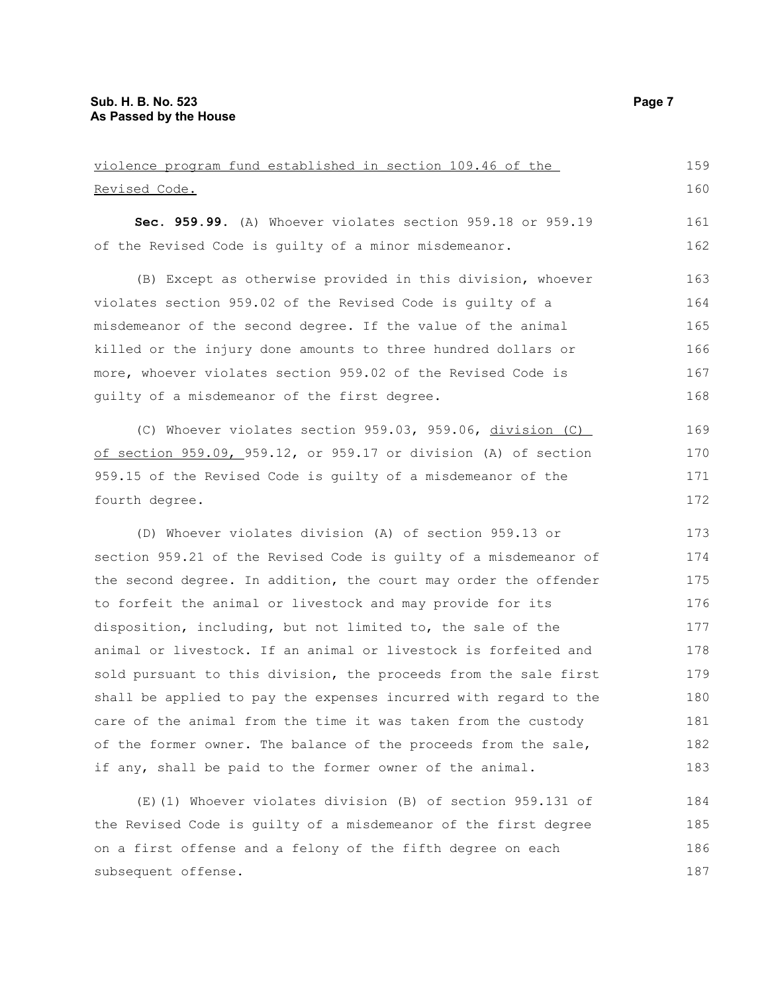subsequent offense.

| violence program fund established in section 109.46 of the       | 159 |  |  |  |
|------------------------------------------------------------------|-----|--|--|--|
| Revised Code.                                                    | 160 |  |  |  |
| Sec. 959.99. (A) Whoever violates section 959.18 or 959.19       | 161 |  |  |  |
| of the Revised Code is quilty of a minor misdemeanor.            | 162 |  |  |  |
| (B) Except as otherwise provided in this division, whoever       | 163 |  |  |  |
| violates section 959.02 of the Revised Code is guilty of a       | 164 |  |  |  |
| misdemeanor of the second degree. If the value of the animal     | 165 |  |  |  |
| killed or the injury done amounts to three hundred dollars or    | 166 |  |  |  |
| more, whoever violates section 959.02 of the Revised Code is     | 167 |  |  |  |
| quilty of a misdemeanor of the first degree.                     | 168 |  |  |  |
| (C) Whoever violates section 959.03, 959.06, division (C)        | 169 |  |  |  |
| of section 959.09, 959.12, or 959.17 or division (A) of section  | 170 |  |  |  |
| 959.15 of the Revised Code is quilty of a misdemeanor of the     |     |  |  |  |
| fourth degree.                                                   | 172 |  |  |  |
| (D) Whoever violates division (A) of section 959.13 or           | 173 |  |  |  |
| section 959.21 of the Revised Code is guilty of a misdemeanor of | 174 |  |  |  |
| the second degree. In addition, the court may order the offender | 175 |  |  |  |
| to forfeit the animal or livestock and may provide for its       | 176 |  |  |  |
| disposition, including, but not limited to, the sale of the      | 177 |  |  |  |
| animal or livestock. If an animal or livestock is forfeited and  | 178 |  |  |  |
| sold pursuant to this division, the proceeds from the sale first | 179 |  |  |  |
| shall be applied to pay the expenses incurred with regard to the | 180 |  |  |  |
| care of the animal from the time it was taken from the custody   | 181 |  |  |  |
| of the former owner. The balance of the proceeds from the sale,  | 182 |  |  |  |
| if any, shall be paid to the former owner of the animal.         | 183 |  |  |  |
| (E)(1) Whoever violates division (B) of section 959.131 of       | 184 |  |  |  |
| the Revised Code is guilty of a misdemeanor of the first degree  | 185 |  |  |  |
| on a first offense and a felony of the fifth degree on each      | 186 |  |  |  |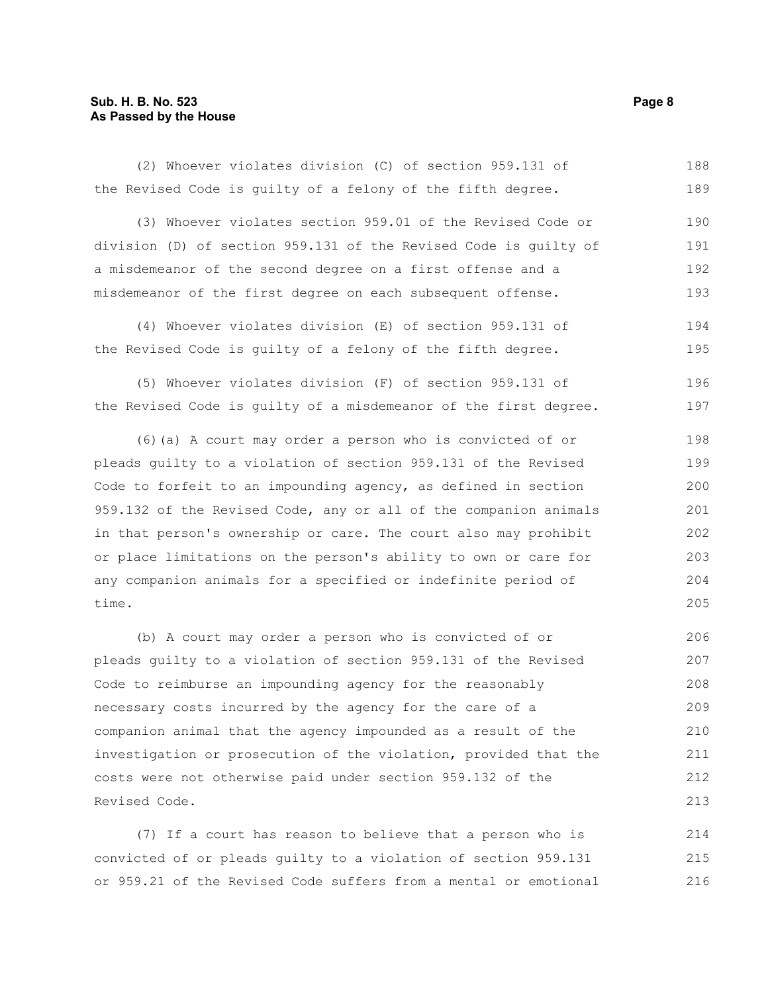#### **Sub. H. B. No. 523 Page 8 As Passed by the House**

(2) Whoever violates division (C) of section 959.131 of the Revised Code is guilty of a felony of the fifth degree. (3) Whoever violates section 959.01 of the Revised Code or division (D) of section 959.131 of the Revised Code is guilty of a misdemeanor of the second degree on a first offense and a misdemeanor of the first degree on each subsequent offense. (4) Whoever violates division (E) of section 959.131 of the Revised Code is guilty of a felony of the fifth degree. (5) Whoever violates division (F) of section 959.131 of the Revised Code is guilty of a misdemeanor of the first degree. (6)(a) A court may order a person who is convicted of or pleads guilty to a violation of section 959.131 of the Revised Code to forfeit to an impounding agency, as defined in section 959.132 of the Revised Code, any or all of the companion animals in that person's ownership or care. The court also may prohibit or place limitations on the person's ability to own or care for any companion animals for a specified or indefinite period of time. (b) A court may order a person who is convicted of or 188 189 190 191 192 193 194 195 196 197 198 199 200 201 202 203 204 205 206

pleads guilty to a violation of section 959.131 of the Revised Code to reimburse an impounding agency for the reasonably necessary costs incurred by the agency for the care of a companion animal that the agency impounded as a result of the investigation or prosecution of the violation, provided that the costs were not otherwise paid under section 959.132 of the Revised Code. 207 208 209 210 211 212 213

(7) If a court has reason to believe that a person who is convicted of or pleads guilty to a violation of section 959.131 or 959.21 of the Revised Code suffers from a mental or emotional 214 215 216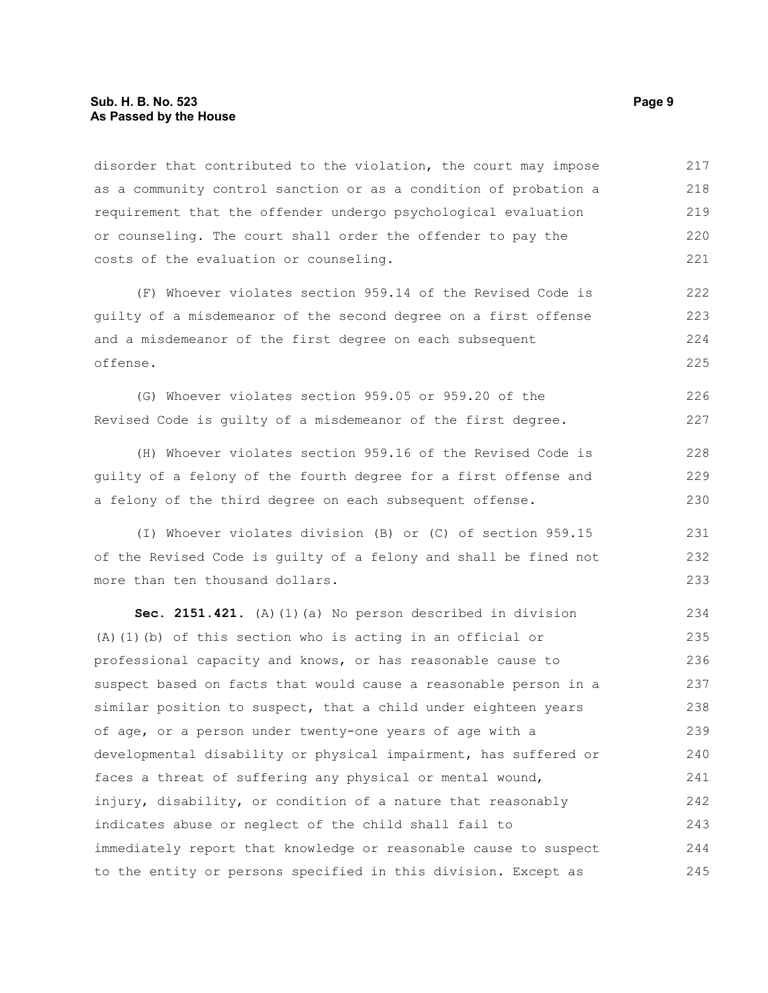#### **Sub. H. B. No. 523 Page 9 As Passed by the House**

disorder that contributed to the violation, the court may impose as a community control sanction or as a condition of probation a requirement that the offender undergo psychological evaluation or counseling. The court shall order the offender to pay the costs of the evaluation or counseling. 217 218 219 220 221

(F) Whoever violates section 959.14 of the Revised Code is guilty of a misdemeanor of the second degree on a first offense and a misdemeanor of the first degree on each subsequent offense.

(G) Whoever violates section 959.05 or 959.20 of the Revised Code is guilty of a misdemeanor of the first degree. 226 227

(H) Whoever violates section 959.16 of the Revised Code is guilty of a felony of the fourth degree for a first offense and a felony of the third degree on each subsequent offense.

(I) Whoever violates division (B) or (C) of section 959.15 of the Revised Code is guilty of a felony and shall be fined not more than ten thousand dollars.

**Sec. 2151.421.** (A)(1)(a) No person described in division (A)(1)(b) of this section who is acting in an official or professional capacity and knows, or has reasonable cause to suspect based on facts that would cause a reasonable person in a similar position to suspect, that a child under eighteen years of age, or a person under twenty-one years of age with a developmental disability or physical impairment, has suffered or faces a threat of suffering any physical or mental wound, injury, disability, or condition of a nature that reasonably indicates abuse or neglect of the child shall fail to immediately report that knowledge or reasonable cause to suspect to the entity or persons specified in this division. Except as 234 235 236 237 238 239 240 241 242 243 244 245

228 229 230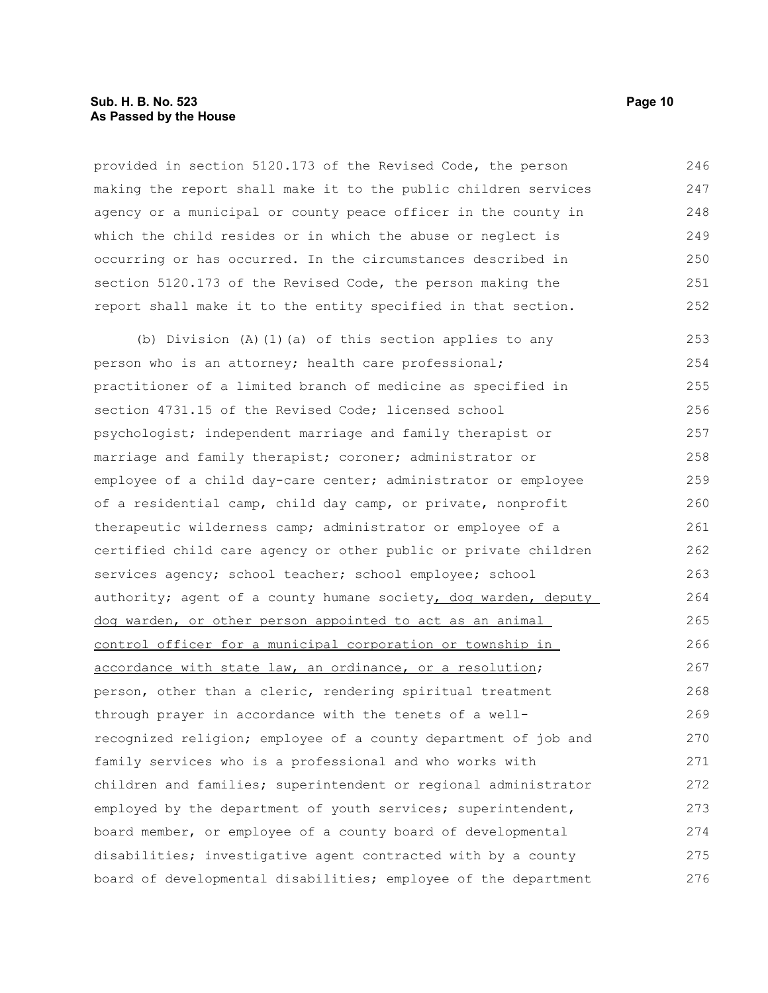#### **Sub. H. B. No. 523 Page 10 As Passed by the House**

provided in section 5120.173 of the Revised Code, the person making the report shall make it to the public children services agency or a municipal or county peace officer in the county in which the child resides or in which the abuse or neglect is occurring or has occurred. In the circumstances described in section 5120.173 of the Revised Code, the person making the report shall make it to the entity specified in that section. 246 247 248 249 250 251 252

(b) Division (A)(1)(a) of this section applies to any person who is an attorney; health care professional; practitioner of a limited branch of medicine as specified in section 4731.15 of the Revised Code; licensed school psychologist; independent marriage and family therapist or marriage and family therapist; coroner; administrator or employee of a child day-care center; administrator or employee of a residential camp, child day camp, or private, nonprofit therapeutic wilderness camp; administrator or employee of a certified child care agency or other public or private children services agency; school teacher; school employee; school authority; agent of a county humane society, dog warden, deputy dog warden, or other person appointed to act as an animal control officer for a municipal corporation or township in accordance with state law, an ordinance, or a resolution; person, other than a cleric, rendering spiritual treatment through prayer in accordance with the tenets of a wellrecognized religion; employee of a county department of job and family services who is a professional and who works with children and families; superintendent or regional administrator employed by the department of youth services; superintendent, board member, or employee of a county board of developmental disabilities; investigative agent contracted with by a county board of developmental disabilities; employee of the department 253 254 255 256 257 258 259 260 261 262 263 264 265 266 267 268 269 270 271 272 273 274 275 276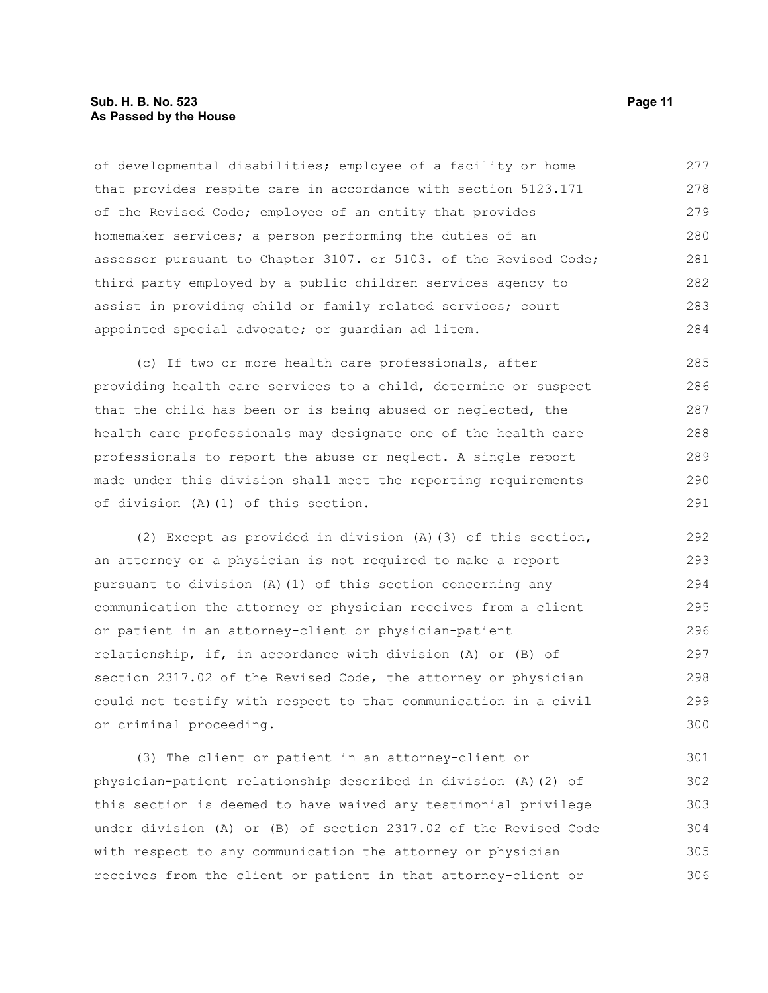#### **Sub. H. B. No. 523 Page 11 As Passed by the House**

of developmental disabilities; employee of a facility or home that provides respite care in accordance with section 5123.171 of the Revised Code; employee of an entity that provides homemaker services; a person performing the duties of an assessor pursuant to Chapter 3107. or 5103. of the Revised Code; third party employed by a public children services agency to assist in providing child or family related services; court appointed special advocate; or guardian ad litem. 277 278 279 280 281 282 283 284

(c) If two or more health care professionals, after providing health care services to a child, determine or suspect that the child has been or is being abused or neglected, the health care professionals may designate one of the health care professionals to report the abuse or neglect. A single report made under this division shall meet the reporting requirements of division (A)(1) of this section. 285 286 287 288 289 290 291

(2) Except as provided in division (A)(3) of this section, an attorney or a physician is not required to make a report pursuant to division (A)(1) of this section concerning any communication the attorney or physician receives from a client or patient in an attorney-client or physician-patient relationship, if, in accordance with division (A) or (B) of section 2317.02 of the Revised Code, the attorney or physician could not testify with respect to that communication in a civil or criminal proceeding. 292 293 294 295 296 297 298 299 300

(3) The client or patient in an attorney-client or physician-patient relationship described in division (A)(2) of this section is deemed to have waived any testimonial privilege under division (A) or (B) of section 2317.02 of the Revised Code with respect to any communication the attorney or physician receives from the client or patient in that attorney-client or 301 302 303 304 305 306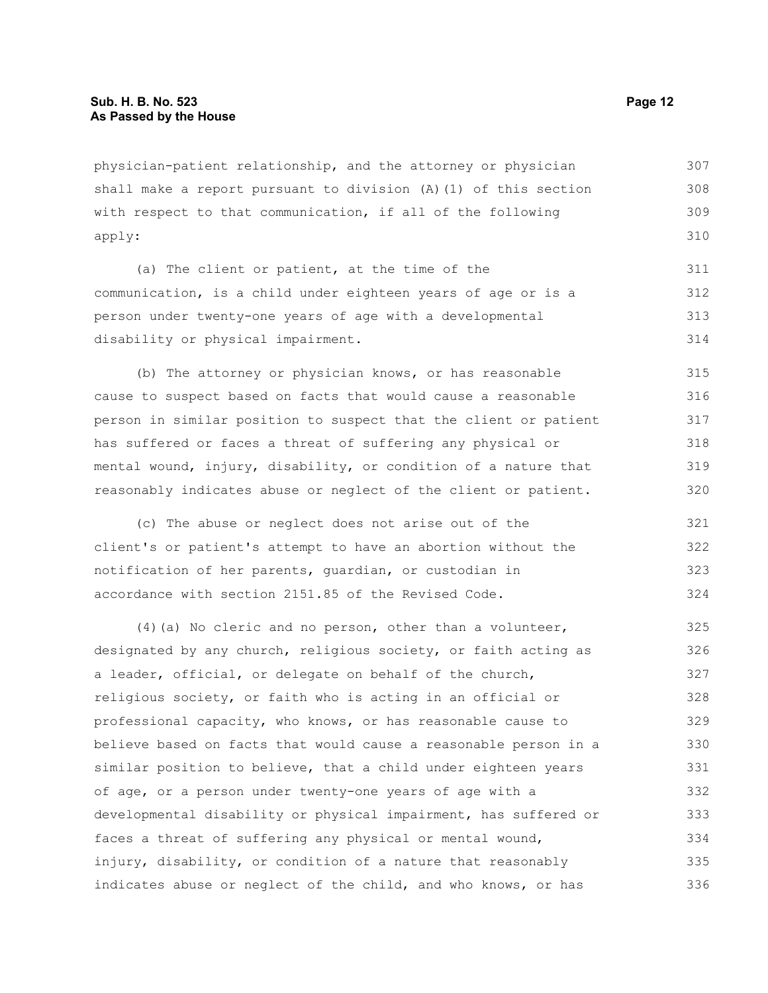physician-patient relationship, and the attorney or physician shall make a report pursuant to division (A)(1) of this section with respect to that communication, if all of the following apply: 307 308 309 310

(a) The client or patient, at the time of the communication, is a child under eighteen years of age or is a person under twenty-one years of age with a developmental disability or physical impairment. 311 312 313 314

(b) The attorney or physician knows, or has reasonable cause to suspect based on facts that would cause a reasonable person in similar position to suspect that the client or patient has suffered or faces a threat of suffering any physical or mental wound, injury, disability, or condition of a nature that reasonably indicates abuse or neglect of the client or patient. 315 316 317 318 319 320

(c) The abuse or neglect does not arise out of the client's or patient's attempt to have an abortion without the notification of her parents, guardian, or custodian in accordance with section 2151.85 of the Revised Code. 321 322 323 324

(4)(a) No cleric and no person, other than a volunteer, designated by any church, religious society, or faith acting as a leader, official, or delegate on behalf of the church, religious society, or faith who is acting in an official or professional capacity, who knows, or has reasonable cause to believe based on facts that would cause a reasonable person in a similar position to believe, that a child under eighteen years of age, or a person under twenty-one years of age with a developmental disability or physical impairment, has suffered or faces a threat of suffering any physical or mental wound, injury, disability, or condition of a nature that reasonably indicates abuse or neglect of the child, and who knows, or has 325 326 327 328 329 330 331 332 333 334 335 336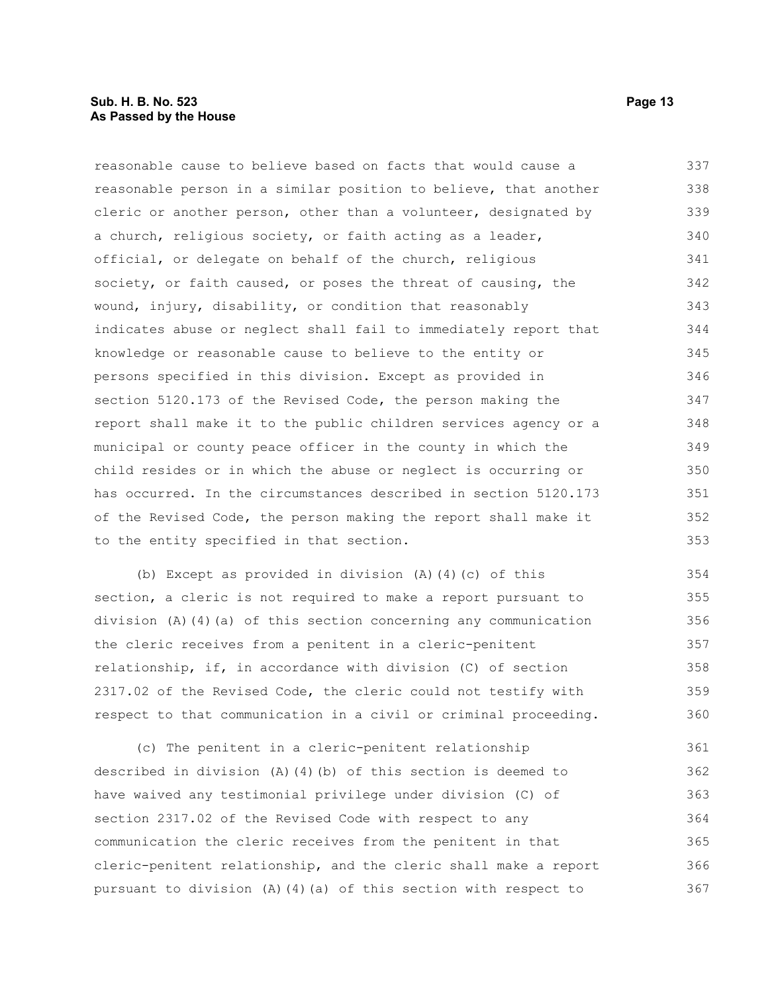reasonable cause to believe based on facts that would cause a reasonable person in a similar position to believe, that another cleric or another person, other than a volunteer, designated by a church, religious society, or faith acting as a leader, official, or delegate on behalf of the church, religious society, or faith caused, or poses the threat of causing, the wound, injury, disability, or condition that reasonably indicates abuse or neglect shall fail to immediately report that knowledge or reasonable cause to believe to the entity or persons specified in this division. Except as provided in section 5120.173 of the Revised Code, the person making the report shall make it to the public children services agency or a municipal or county peace officer in the county in which the child resides or in which the abuse or neglect is occurring or has occurred. In the circumstances described in section 5120.173 of the Revised Code, the person making the report shall make it to the entity specified in that section. 337 338 339 340 341 342 343 344 345 346 347 348 349 350 351 352 353

(b) Except as provided in division (A)(4)(c) of this section, a cleric is not required to make a report pursuant to division (A)(4)(a) of this section concerning any communication the cleric receives from a penitent in a cleric-penitent relationship, if, in accordance with division (C) of section 2317.02 of the Revised Code, the cleric could not testify with respect to that communication in a civil or criminal proceeding. 354 355 356 357 358 359 360

(c) The penitent in a cleric-penitent relationship described in division (A)(4)(b) of this section is deemed to have waived any testimonial privilege under division (C) of section 2317.02 of the Revised Code with respect to any communication the cleric receives from the penitent in that cleric-penitent relationship, and the cleric shall make a report pursuant to division (A)(4)(a) of this section with respect to 361 362 363 364 365 366 367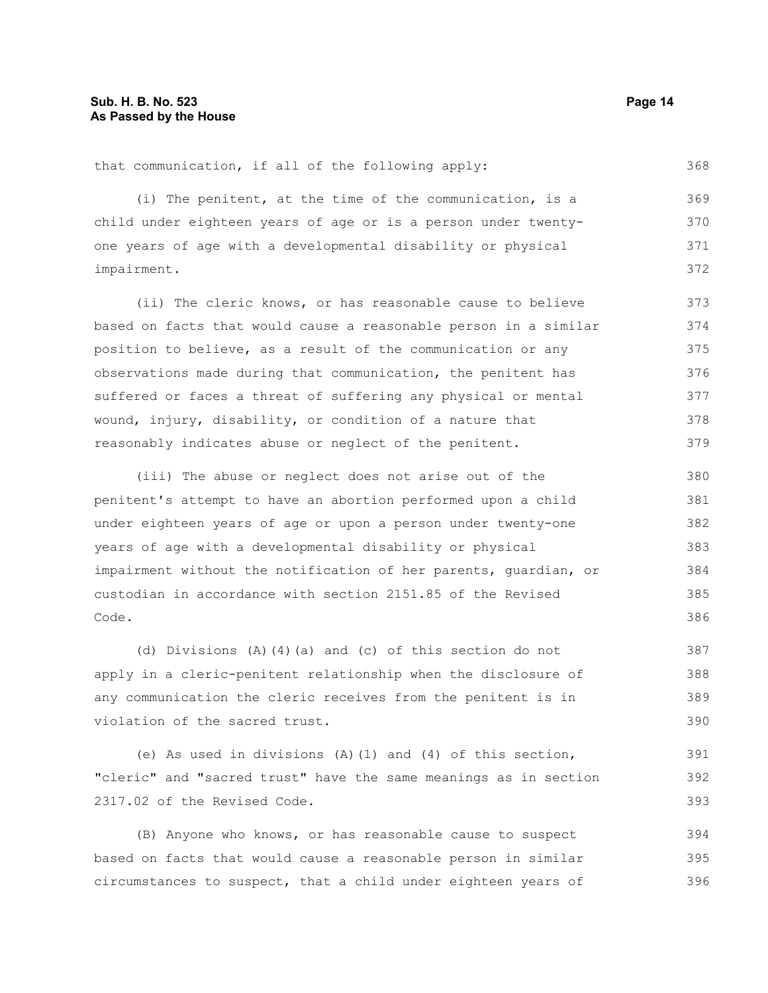that communication, if all of the following apply:

(i) The penitent, at the time of the communication, is a child under eighteen years of age or is a person under twentyone years of age with a developmental disability or physical impairment. 369 370 371 372

(ii) The cleric knows, or has reasonable cause to believe based on facts that would cause a reasonable person in a similar position to believe, as a result of the communication or any observations made during that communication, the penitent has suffered or faces a threat of suffering any physical or mental wound, injury, disability, or condition of a nature that reasonably indicates abuse or neglect of the penitent. 373 374 375 376 377 378 379

(iii) The abuse or neglect does not arise out of the penitent's attempt to have an abortion performed upon a child under eighteen years of age or upon a person under twenty-one years of age with a developmental disability or physical impairment without the notification of her parents, guardian, or custodian in accordance with section 2151.85 of the Revised Code. 380 381 382 383 384 385 386

(d) Divisions (A)(4)(a) and (c) of this section do not apply in a cleric-penitent relationship when the disclosure of any communication the cleric receives from the penitent is in violation of the sacred trust. 387 388 389 390

(e) As used in divisions (A)(1) and (4) of this section, "cleric" and "sacred trust" have the same meanings as in section 2317.02 of the Revised Code. 391 392 393

(B) Anyone who knows, or has reasonable cause to suspect based on facts that would cause a reasonable person in similar circumstances to suspect, that a child under eighteen years of 394 395 396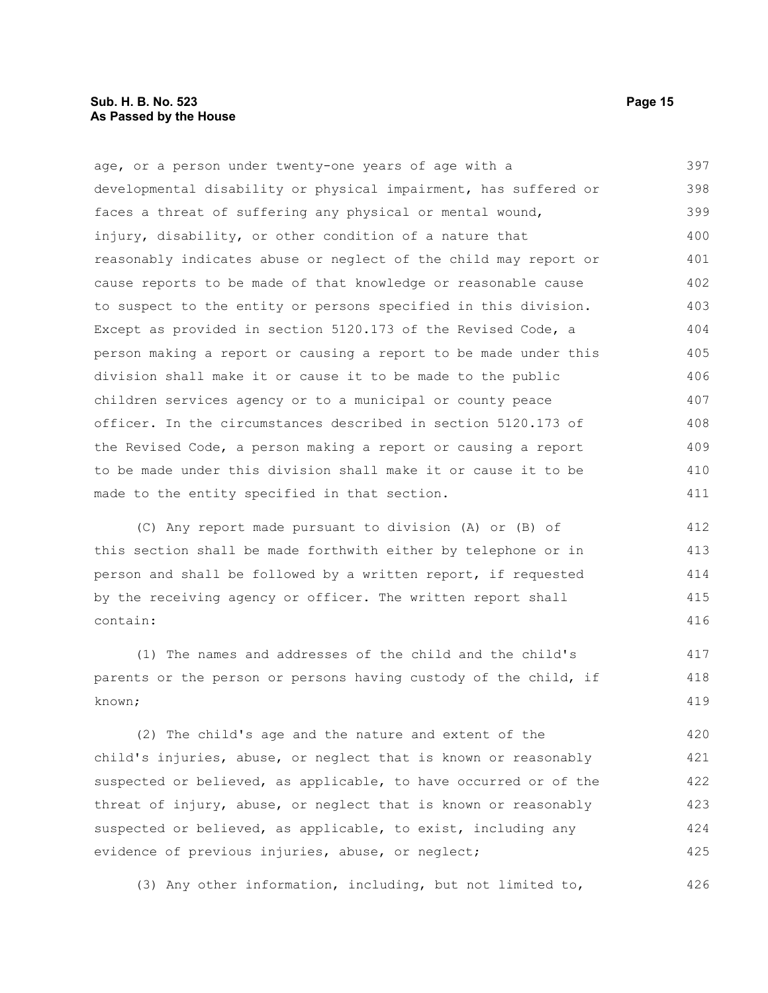age, or a person under twenty-one years of age with a developmental disability or physical impairment, has suffered or faces a threat of suffering any physical or mental wound, injury, disability, or other condition of a nature that reasonably indicates abuse or neglect of the child may report or cause reports to be made of that knowledge or reasonable cause to suspect to the entity or persons specified in this division. Except as provided in section 5120.173 of the Revised Code, a person making a report or causing a report to be made under this division shall make it or cause it to be made to the public children services agency or to a municipal or county peace officer. In the circumstances described in section 5120.173 of the Revised Code, a person making a report or causing a report to be made under this division shall make it or cause it to be made to the entity specified in that section. 397 398 399 400 401 402 403 404 405 406 407 408 409 410 411

(C) Any report made pursuant to division (A) or (B) of this section shall be made forthwith either by telephone or in person and shall be followed by a written report, if requested by the receiving agency or officer. The written report shall contain: 412 413 414 415 416

(1) The names and addresses of the child and the child's parents or the person or persons having custody of the child, if known; 417 418 419

(2) The child's age and the nature and extent of the child's injuries, abuse, or neglect that is known or reasonably suspected or believed, as applicable, to have occurred or of the threat of injury, abuse, or neglect that is known or reasonably suspected or believed, as applicable, to exist, including any evidence of previous injuries, abuse, or neglect; 420 421 422 423 424 425

(3) Any other information, including, but not limited to, 426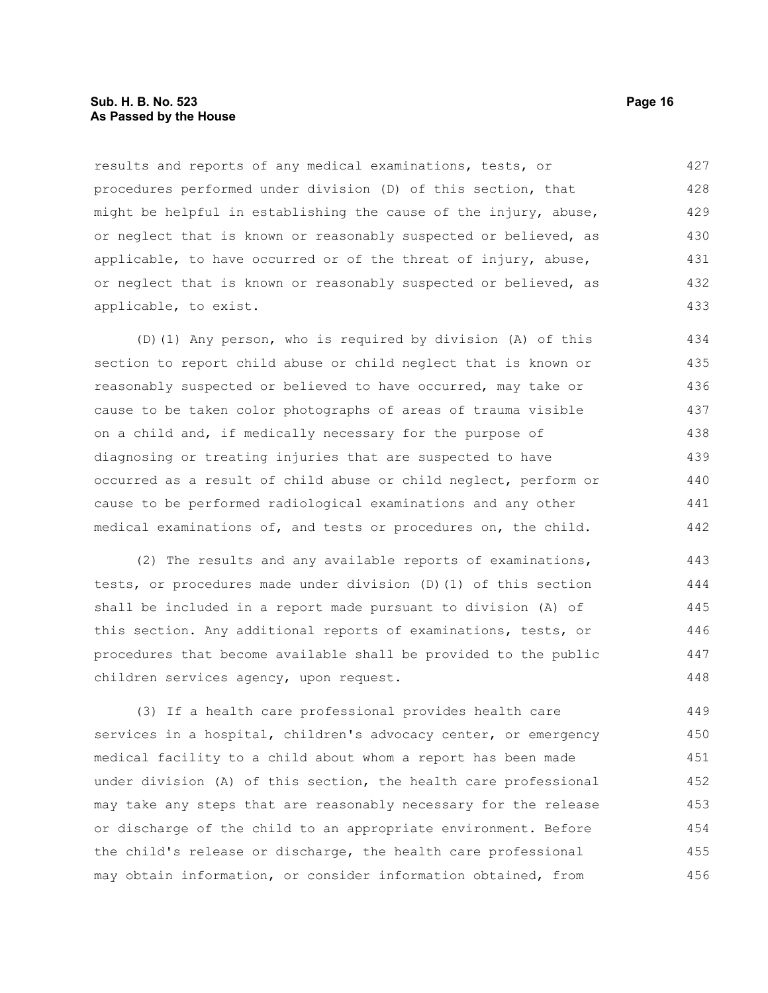#### **Sub. H. B. No. 523 Page 16 As Passed by the House**

results and reports of any medical examinations, tests, or procedures performed under division (D) of this section, that might be helpful in establishing the cause of the injury, abuse, or neglect that is known or reasonably suspected or believed, as applicable, to have occurred or of the threat of injury, abuse, or neglect that is known or reasonably suspected or believed, as applicable, to exist. 427 428 429 430 431 432 433

(D)(1) Any person, who is required by division (A) of this section to report child abuse or child neglect that is known or reasonably suspected or believed to have occurred, may take or cause to be taken color photographs of areas of trauma visible on a child and, if medically necessary for the purpose of diagnosing or treating injuries that are suspected to have occurred as a result of child abuse or child neglect, perform or cause to be performed radiological examinations and any other medical examinations of, and tests or procedures on, the child. 434 435 436 437 438 439 440 441 442

(2) The results and any available reports of examinations, tests, or procedures made under division (D)(1) of this section shall be included in a report made pursuant to division (A) of this section. Any additional reports of examinations, tests, or procedures that become available shall be provided to the public children services agency, upon request. 443 444 445 446 447 448

(3) If a health care professional provides health care services in a hospital, children's advocacy center, or emergency medical facility to a child about whom a report has been made under division (A) of this section, the health care professional may take any steps that are reasonably necessary for the release or discharge of the child to an appropriate environment. Before the child's release or discharge, the health care professional may obtain information, or consider information obtained, from 449 450 451 452 453 454 455 456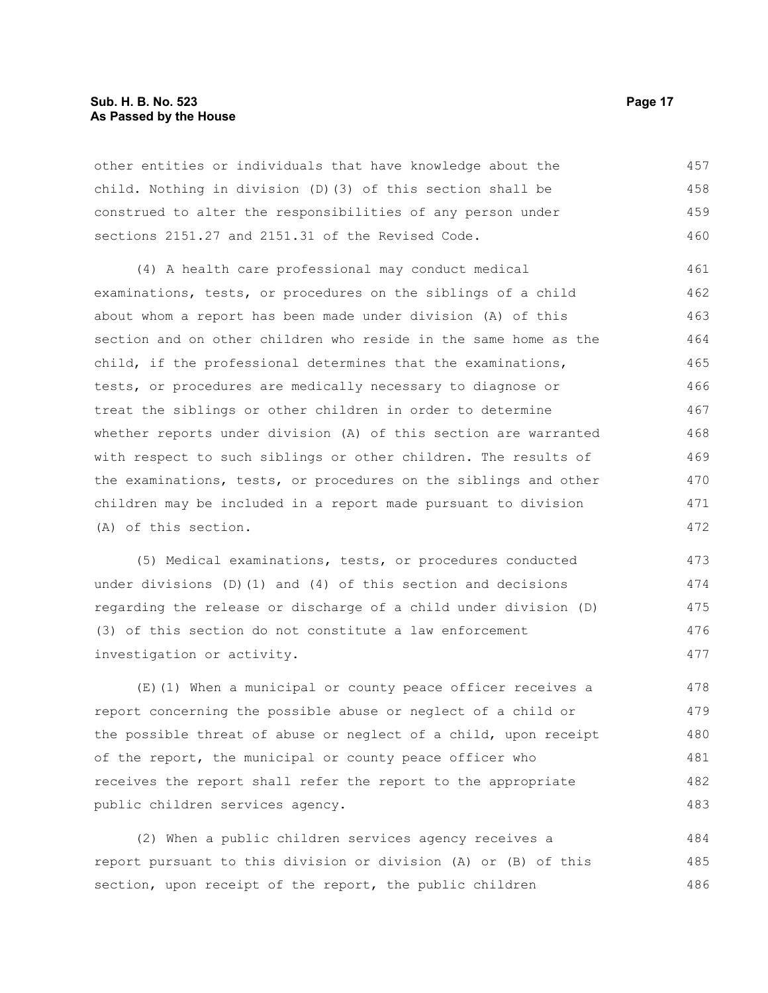#### **Sub. H. B. No. 523 Page 17 As Passed by the House**

other entities or individuals that have knowledge about the child. Nothing in division (D)(3) of this section shall be construed to alter the responsibilities of any person under sections 2151.27 and 2151.31 of the Revised Code. 457 458 459 460

(4) A health care professional may conduct medical examinations, tests, or procedures on the siblings of a child about whom a report has been made under division (A) of this section and on other children who reside in the same home as the child, if the professional determines that the examinations, tests, or procedures are medically necessary to diagnose or treat the siblings or other children in order to determine whether reports under division (A) of this section are warranted with respect to such siblings or other children. The results of the examinations, tests, or procedures on the siblings and other children may be included in a report made pursuant to division (A) of this section. 461 462 463 464 465 466 467 468 469 470 471 472

(5) Medical examinations, tests, or procedures conducted under divisions (D)(1) and (4) of this section and decisions regarding the release or discharge of a child under division (D) (3) of this section do not constitute a law enforcement investigation or activity. 473 474 475 476 477

(E)(1) When a municipal or county peace officer receives a report concerning the possible abuse or neglect of a child or the possible threat of abuse or neglect of a child, upon receipt of the report, the municipal or county peace officer who receives the report shall refer the report to the appropriate public children services agency. 478 479 480 481 482 483

(2) When a public children services agency receives a report pursuant to this division or division (A) or (B) of this section, upon receipt of the report, the public children 484 485 486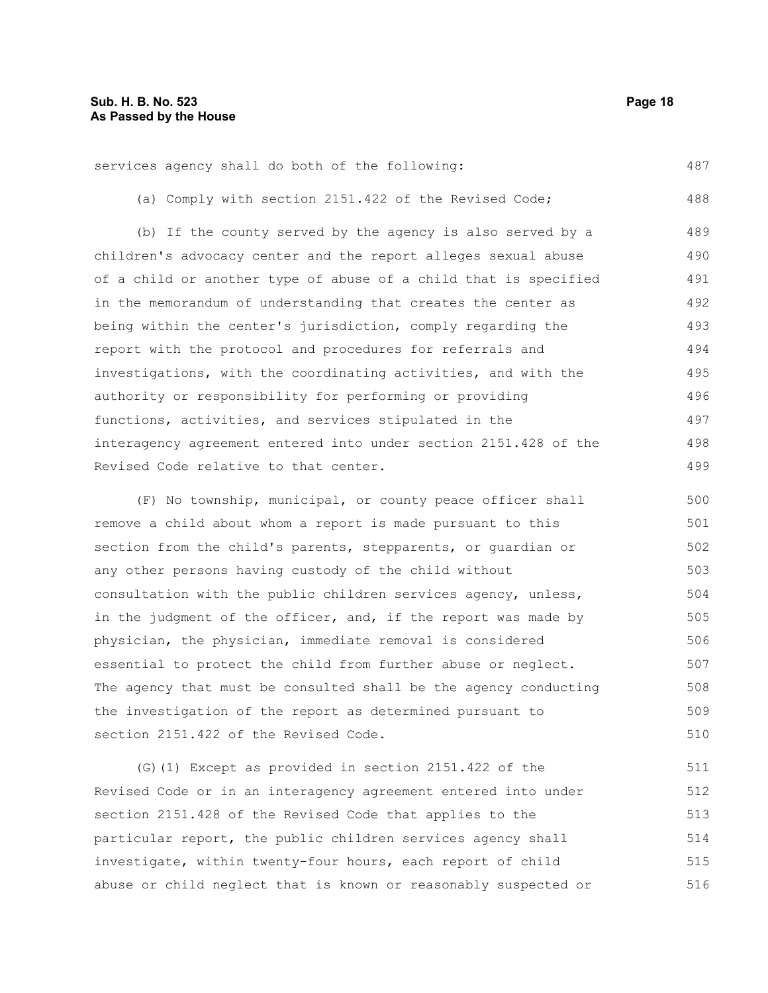services agency shall do both of the following: (a) Comply with section 2151.422 of the Revised Code; (b) If the county served by the agency is also served by a children's advocacy center and the report alleges sexual abuse of a child or another type of abuse of a child that is specified in the memorandum of understanding that creates the center as being within the center's jurisdiction, comply regarding the report with the protocol and procedures for referrals and investigations, with the coordinating activities, and with the authority or responsibility for performing or providing functions, activities, and services stipulated in the interagency agreement entered into under section 2151.428 of the Revised Code relative to that center. (F) No township, municipal, or county peace officer shall 487 488 489 490 491 492 493 494 495 496 497 498 499 500

remove a child about whom a report is made pursuant to this section from the child's parents, stepparents, or guardian or any other persons having custody of the child without consultation with the public children services agency, unless, in the judgment of the officer, and, if the report was made by physician, the physician, immediate removal is considered essential to protect the child from further abuse or neglect. The agency that must be consulted shall be the agency conducting the investigation of the report as determined pursuant to section 2151.422 of the Revised Code. 501 502 503 504 505 506 507 508 509 510

(G)(1) Except as provided in section 2151.422 of the Revised Code or in an interagency agreement entered into under section 2151.428 of the Revised Code that applies to the particular report, the public children services agency shall investigate, within twenty-four hours, each report of child abuse or child neglect that is known or reasonably suspected or 511 512 513 514 515 516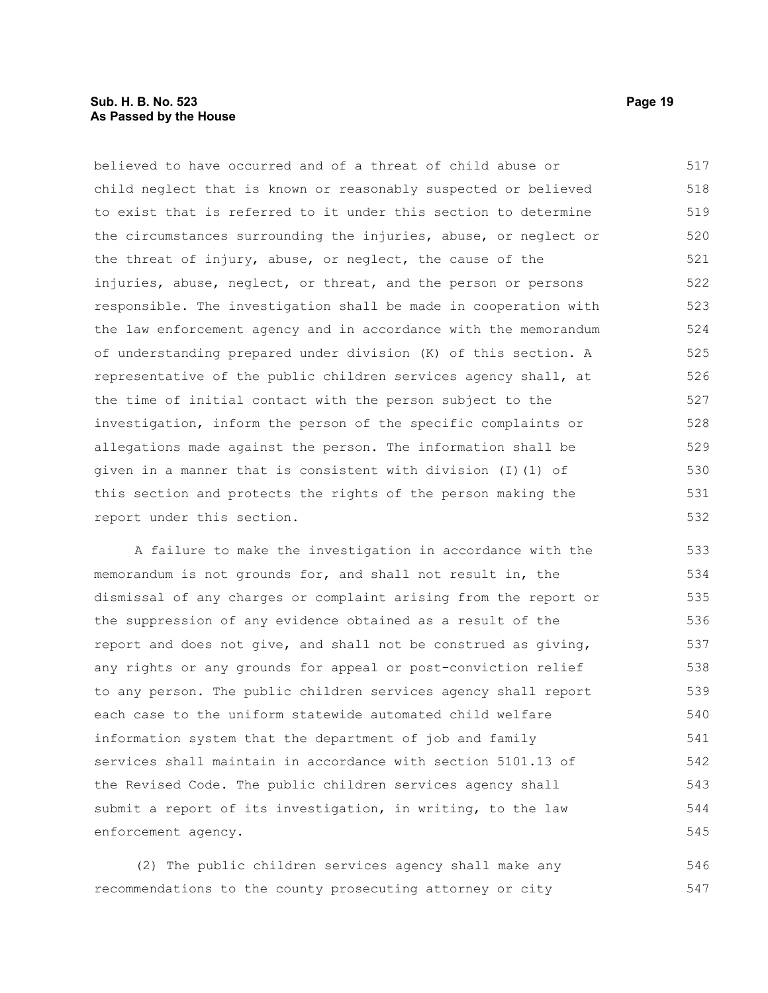#### **Sub. H. B. No. 523 Page 19 As Passed by the House**

believed to have occurred and of a threat of child abuse or child neglect that is known or reasonably suspected or believed to exist that is referred to it under this section to determine the circumstances surrounding the injuries, abuse, or neglect or the threat of injury, abuse, or neglect, the cause of the injuries, abuse, neglect, or threat, and the person or persons responsible. The investigation shall be made in cooperation with the law enforcement agency and in accordance with the memorandum of understanding prepared under division (K) of this section. A representative of the public children services agency shall, at the time of initial contact with the person subject to the investigation, inform the person of the specific complaints or allegations made against the person. The information shall be given in a manner that is consistent with division (I)(1) of this section and protects the rights of the person making the report under this section. 517 518 519 520 521 522 523 524 525 526 527 528 529 530 531 532

A failure to make the investigation in accordance with the memorandum is not grounds for, and shall not result in, the dismissal of any charges or complaint arising from the report or the suppression of any evidence obtained as a result of the report and does not give, and shall not be construed as giving, any rights or any grounds for appeal or post-conviction relief to any person. The public children services agency shall report each case to the uniform statewide automated child welfare information system that the department of job and family services shall maintain in accordance with section 5101.13 of the Revised Code. The public children services agency shall submit a report of its investigation, in writing, to the law enforcement agency. 533 534 535 536 537 538 539 540 541 542 543 544 545

(2) The public children services agency shall make any recommendations to the county prosecuting attorney or city 546 547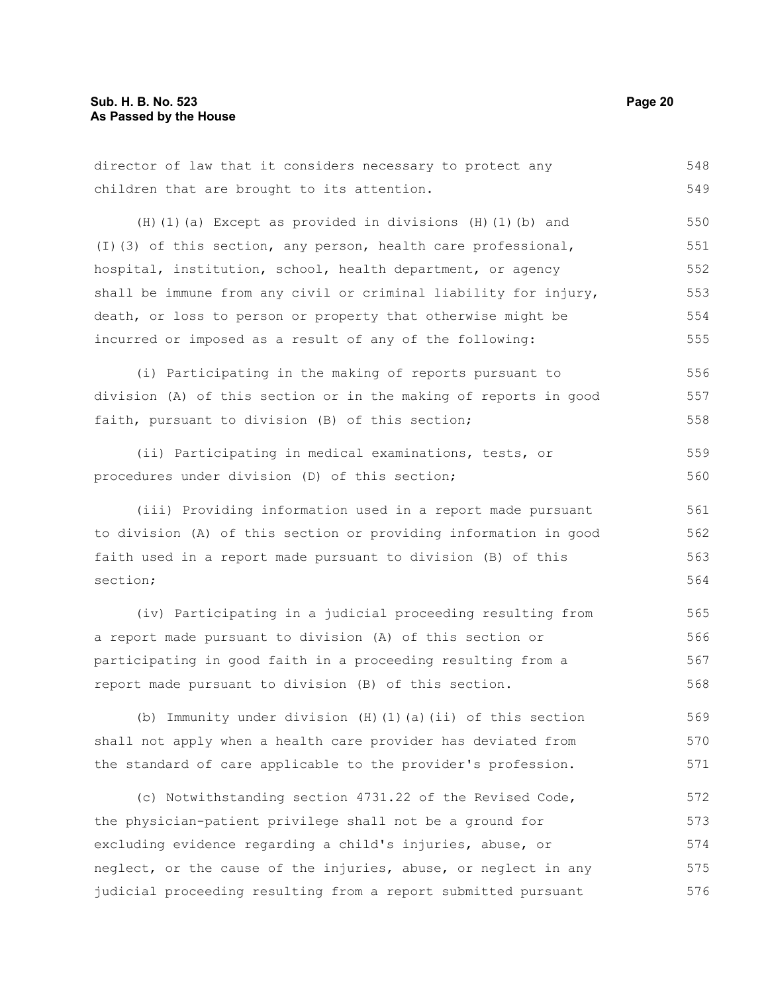director of law that it considers necessary to protect any children that are brought to its attention. (H)(1)(a) Except as provided in divisions (H)(1)(b) and (I)(3) of this section, any person, health care professional, hospital, institution, school, health department, or agency shall be immune from any civil or criminal liability for injury, death, or loss to person or property that otherwise might be incurred or imposed as a result of any of the following: (i) Participating in the making of reports pursuant to division (A) of this section or in the making of reports in good faith, pursuant to division (B) of this section; (ii) Participating in medical examinations, tests, or procedures under division (D) of this section; (iii) Providing information used in a report made pursuant to division (A) of this section or providing information in good faith used in a report made pursuant to division (B) of this section; (iv) Participating in a judicial proceeding resulting from a report made pursuant to division (A) of this section or participating in good faith in a proceeding resulting from a report made pursuant to division (B) of this section. (b) Immunity under division (H)(1)(a)(ii) of this section shall not apply when a health care provider has deviated from the standard of care applicable to the provider's profession. (c) Notwithstanding section 4731.22 of the Revised Code, the physician-patient privilege shall not be a ground for 548 549 550 551 552 553 554 555 556 557 558 559 560 561 562 563 564 565 566 567 568 569 570 571 572 573

excluding evidence regarding a child's injuries, abuse, or neglect, or the cause of the injuries, abuse, or neglect in any judicial proceeding resulting from a report submitted pursuant 574 575 576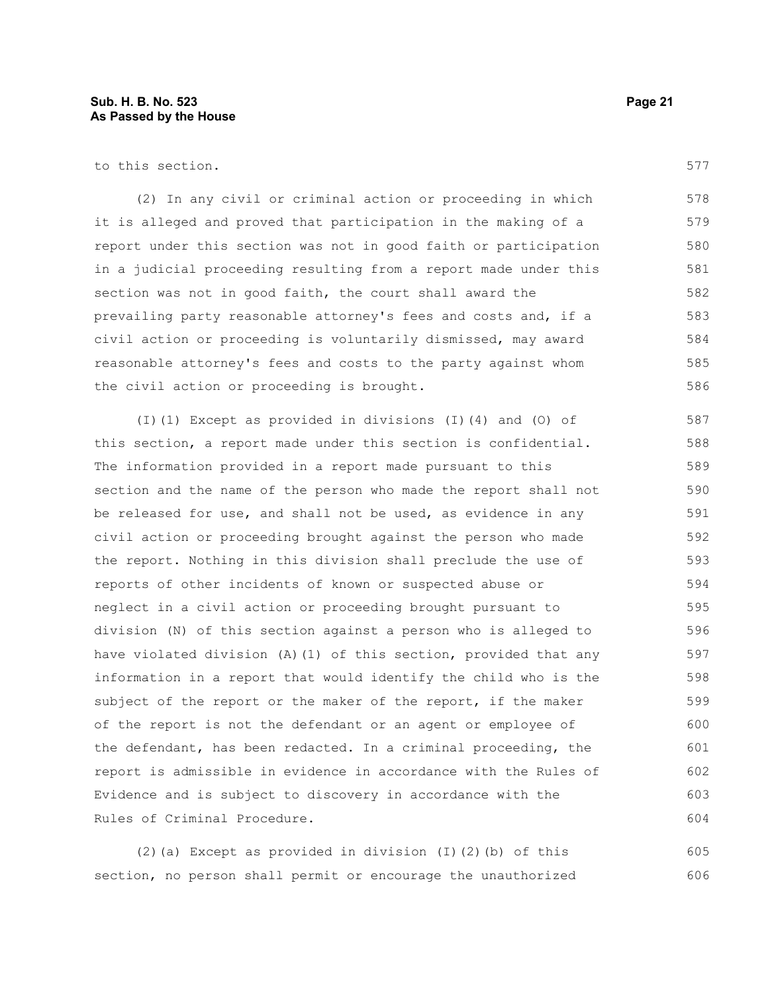to this section.

(2) In any civil or criminal action or proceeding in which it is alleged and proved that participation in the making of a report under this section was not in good faith or participation in a judicial proceeding resulting from a report made under this section was not in good faith, the court shall award the prevailing party reasonable attorney's fees and costs and, if a civil action or proceeding is voluntarily dismissed, may award reasonable attorney's fees and costs to the party against whom the civil action or proceeding is brought. 578 579 580 581 582 583 584 585 586

(I)(1) Except as provided in divisions (I)(4) and (O) of this section, a report made under this section is confidential. The information provided in a report made pursuant to this section and the name of the person who made the report shall not be released for use, and shall not be used, as evidence in any civil action or proceeding brought against the person who made the report. Nothing in this division shall preclude the use of reports of other incidents of known or suspected abuse or neglect in a civil action or proceeding brought pursuant to division (N) of this section against a person who is alleged to have violated division (A)(1) of this section, provided that any information in a report that would identify the child who is the subject of the report or the maker of the report, if the maker of the report is not the defendant or an agent or employee of the defendant, has been redacted. In a criminal proceeding, the report is admissible in evidence in accordance with the Rules of Evidence and is subject to discovery in accordance with the Rules of Criminal Procedure. 587 588 589 590 591 592 593 594 595 596 597 598 599 600 601 602 603 604

(2)(a) Except as provided in division (I)(2)(b) of this section, no person shall permit or encourage the unauthorized 605 606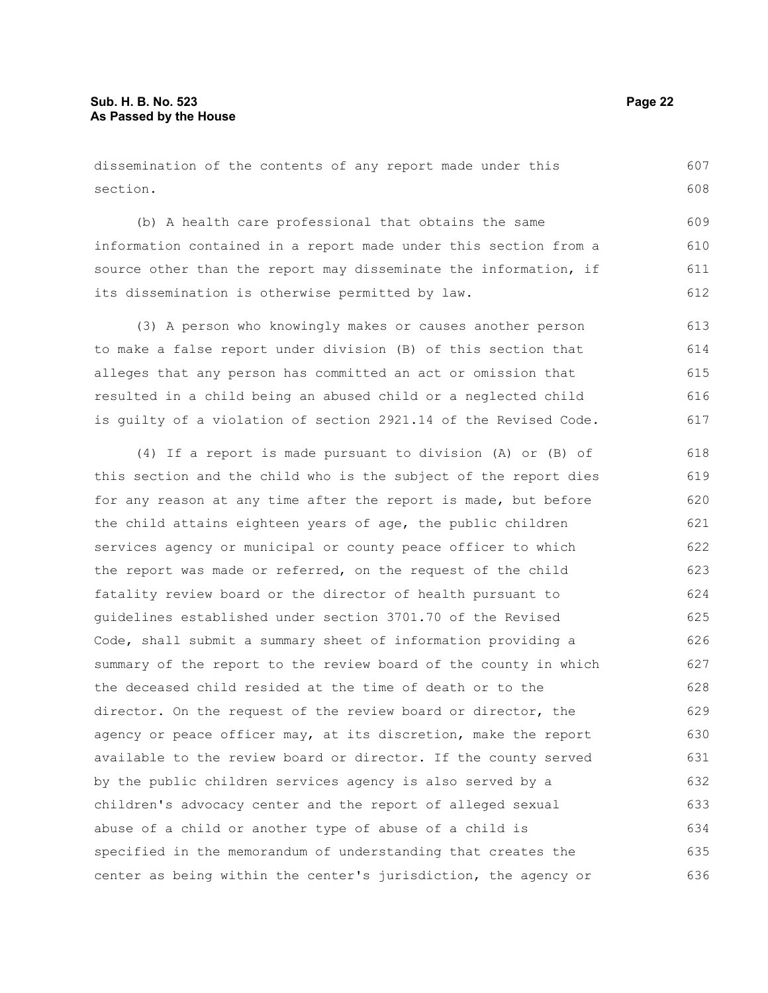dissemination of the contents of any report made under this section.

(b) A health care professional that obtains the same information contained in a report made under this section from a source other than the report may disseminate the information, if its dissemination is otherwise permitted by law. 609 610 611 612

(3) A person who knowingly makes or causes another person to make a false report under division (B) of this section that alleges that any person has committed an act or omission that resulted in a child being an abused child or a neglected child is guilty of a violation of section 2921.14 of the Revised Code. 613 614 615 616 617

(4) If a report is made pursuant to division (A) or (B) of this section and the child who is the subject of the report dies for any reason at any time after the report is made, but before the child attains eighteen years of age, the public children services agency or municipal or county peace officer to which the report was made or referred, on the request of the child fatality review board or the director of health pursuant to guidelines established under section 3701.70 of the Revised Code, shall submit a summary sheet of information providing a summary of the report to the review board of the county in which the deceased child resided at the time of death or to the director. On the request of the review board or director, the agency or peace officer may, at its discretion, make the report available to the review board or director. If the county served by the public children services agency is also served by a children's advocacy center and the report of alleged sexual abuse of a child or another type of abuse of a child is specified in the memorandum of understanding that creates the center as being within the center's jurisdiction, the agency or 618 619 620 621 622 623 624 625 626 627 628 629 630 631 632 633 634 635 636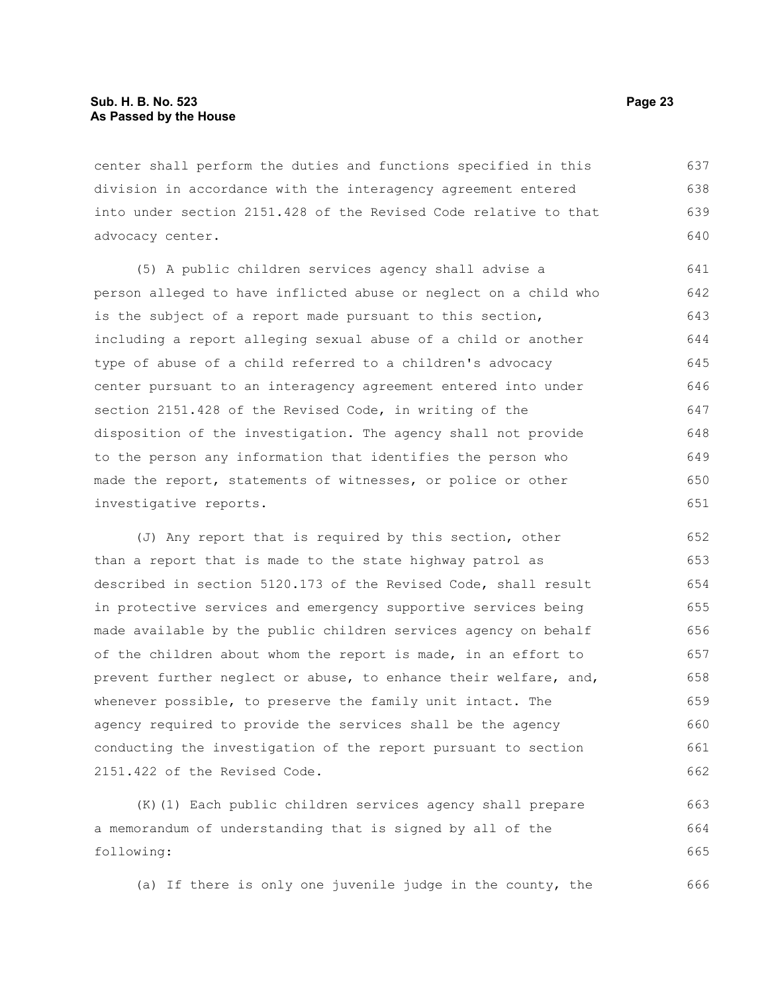center shall perform the duties and functions specified in this division in accordance with the interagency agreement entered into under section 2151.428 of the Revised Code relative to that advocacy center. 637 638 639 640

(5) A public children services agency shall advise a person alleged to have inflicted abuse or neglect on a child who is the subject of a report made pursuant to this section, including a report alleging sexual abuse of a child or another type of abuse of a child referred to a children's advocacy center pursuant to an interagency agreement entered into under section 2151.428 of the Revised Code, in writing of the disposition of the investigation. The agency shall not provide to the person any information that identifies the person who made the report, statements of witnesses, or police or other investigative reports. 641 642 643 644 645 646 647 648 649 650 651

(J) Any report that is required by this section, other than a report that is made to the state highway patrol as described in section 5120.173 of the Revised Code, shall result in protective services and emergency supportive services being made available by the public children services agency on behalf of the children about whom the report is made, in an effort to prevent further neglect or abuse, to enhance their welfare, and, whenever possible, to preserve the family unit intact. The agency required to provide the services shall be the agency conducting the investigation of the report pursuant to section 2151.422 of the Revised Code. 652 653 654 655 656 657 658 659 660 661 662

(K)(1) Each public children services agency shall prepare a memorandum of understanding that is signed by all of the following: 663 664 665

(a) If there is only one juvenile judge in the county, the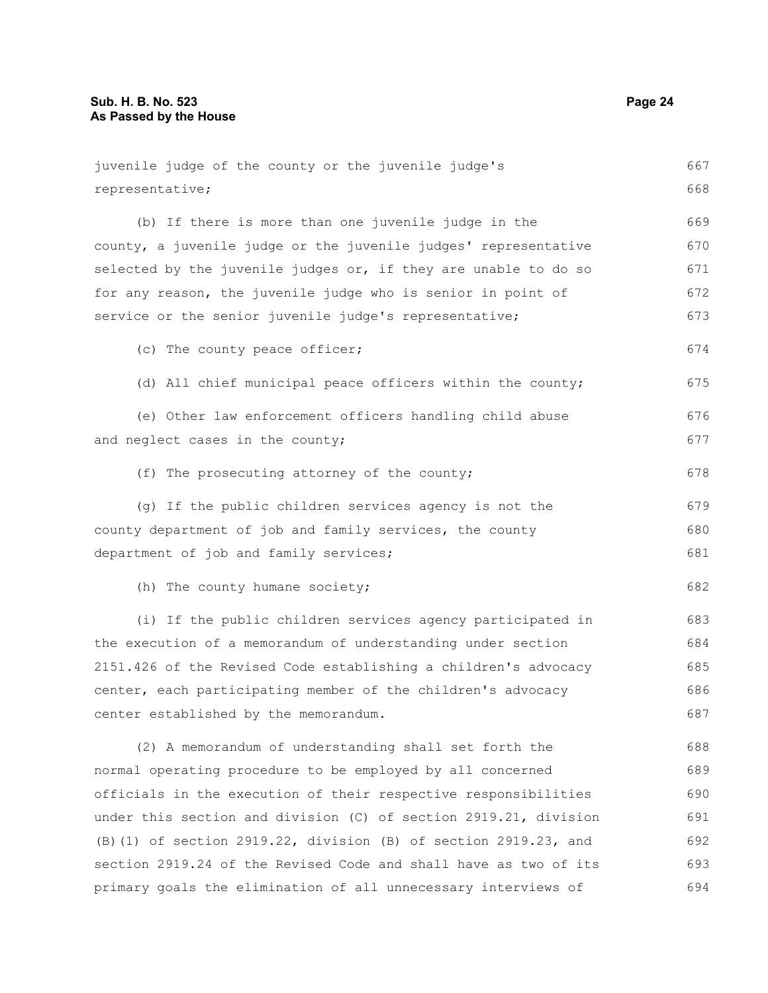juvenile judge of the county or the juvenile judge's

representative; (b) If there is more than one juvenile judge in the county, a juvenile judge or the juvenile judges' representative selected by the juvenile judges or, if they are unable to do so for any reason, the juvenile judge who is senior in point of service or the senior juvenile judge's representative; (c) The county peace officer; (d) All chief municipal peace officers within the county; (e) Other law enforcement officers handling child abuse and neglect cases in the county; (f) The prosecuting attorney of the county; (g) If the public children services agency is not the county department of job and family services, the county department of job and family services; (h) The county humane society; (i) If the public children services agency participated in the execution of a memorandum of understanding under section 2151.426 of the Revised Code establishing a children's advocacy center, each participating member of the children's advocacy center established by the memorandum. (2) A memorandum of understanding shall set forth the normal operating procedure to be employed by all concerned officials in the execution of their respective responsibilities under this section and division (C) of section 2919.21, division (B)(1) of section 2919.22, division (B) of section 2919.23, and section 2919.24 of the Revised Code and shall have as two of its 668 669 670 671 672 673 674 675 676 677 678 679 680 681 682 683 684 685 686 687 688 689 690 691 692 693

primary goals the elimination of all unnecessary interviews of

667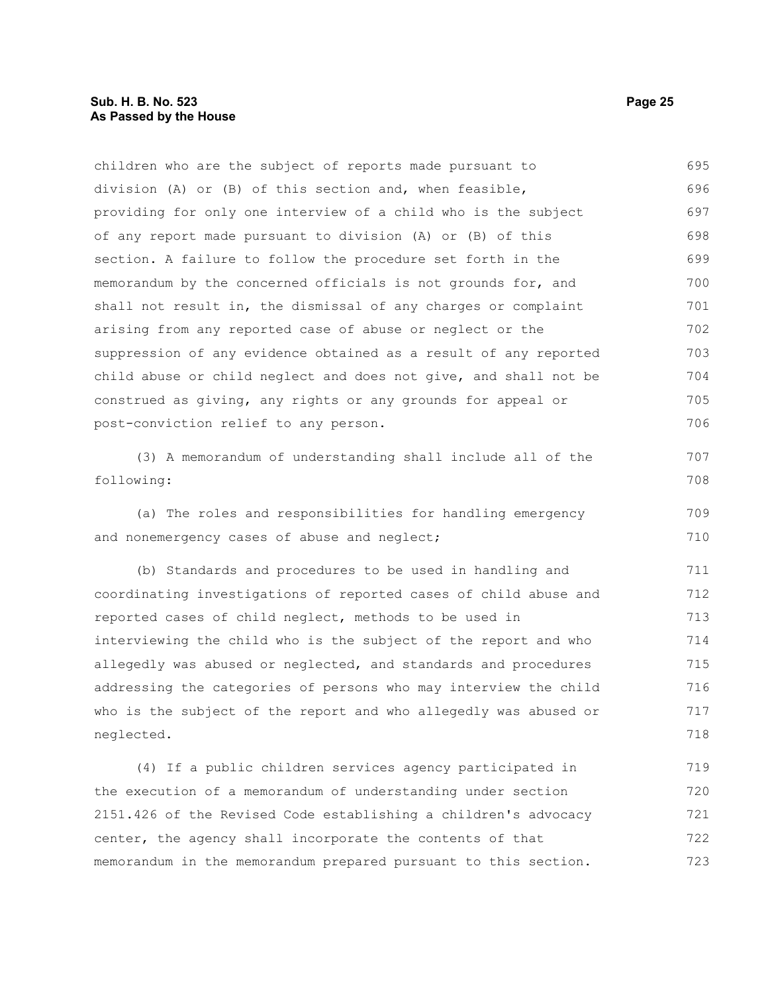children who are the subject of reports made pursuant to division (A) or (B) of this section and, when feasible, providing for only one interview of a child who is the subject of any report made pursuant to division (A) or (B) of this section. A failure to follow the procedure set forth in the memorandum by the concerned officials is not grounds for, and shall not result in, the dismissal of any charges or complaint arising from any reported case of abuse or neglect or the suppression of any evidence obtained as a result of any reported child abuse or child neglect and does not give, and shall not be construed as giving, any rights or any grounds for appeal or post-conviction relief to any person. 695 696 697 698 699 700 701 702 703 704 705 706

(3) A memorandum of understanding shall include all of the following:

(a) The roles and responsibilities for handling emergency and nonemergency cases of abuse and neglect;

(b) Standards and procedures to be used in handling and coordinating investigations of reported cases of child abuse and reported cases of child neglect, methods to be used in interviewing the child who is the subject of the report and who allegedly was abused or neglected, and standards and procedures addressing the categories of persons who may interview the child who is the subject of the report and who allegedly was abused or neglected. 711 712 713 714 715 716 717 718

(4) If a public children services agency participated in the execution of a memorandum of understanding under section 2151.426 of the Revised Code establishing a children's advocacy center, the agency shall incorporate the contents of that memorandum in the memorandum prepared pursuant to this section. 719 720 721 722 723

707 708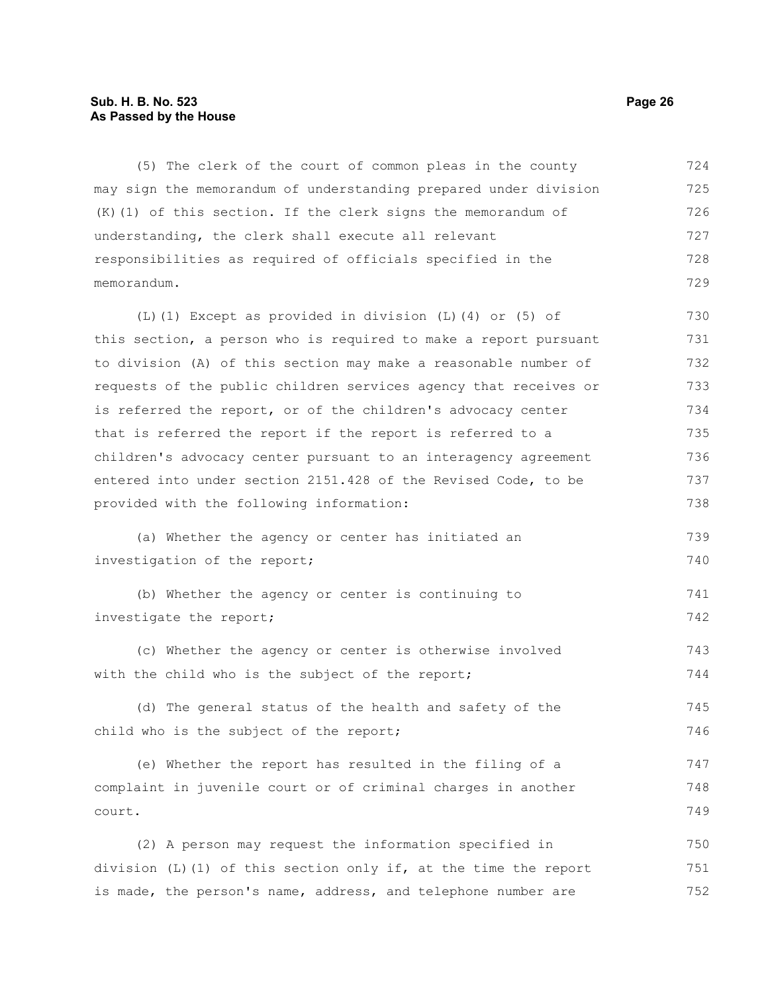#### **Sub. H. B. No. 523 Page 26 As Passed by the House**

(5) The clerk of the court of common pleas in the county may sign the memorandum of understanding prepared under division (K)(1) of this section. If the clerk signs the memorandum of understanding, the clerk shall execute all relevant responsibilities as required of officials specified in the memorandum. 724 725 726 727 728 729

(L)(1) Except as provided in division (L)(4) or (5) of this section, a person who is required to make a report pursuant to division (A) of this section may make a reasonable number of requests of the public children services agency that receives or is referred the report, or of the children's advocacy center that is referred the report if the report is referred to a children's advocacy center pursuant to an interagency agreement entered into under section 2151.428 of the Revised Code, to be provided with the following information: 730 731 732 733 734 735 736 737 738

(a) Whether the agency or center has initiated an investigation of the report;

```
(b) Whether the agency or center is continuing to
investigate the report; 
                                                                              741
                                                                              742
```
(c) Whether the agency or center is otherwise involved with the child who is the subject of the report; 743 744

(d) The general status of the health and safety of the child who is the subject of the report; 745 746

(e) Whether the report has resulted in the filing of a complaint in juvenile court or of criminal charges in another court. 747 748 749

(2) A person may request the information specified in division (L)(1) of this section only if, at the time the report is made, the person's name, address, and telephone number are 750 751 752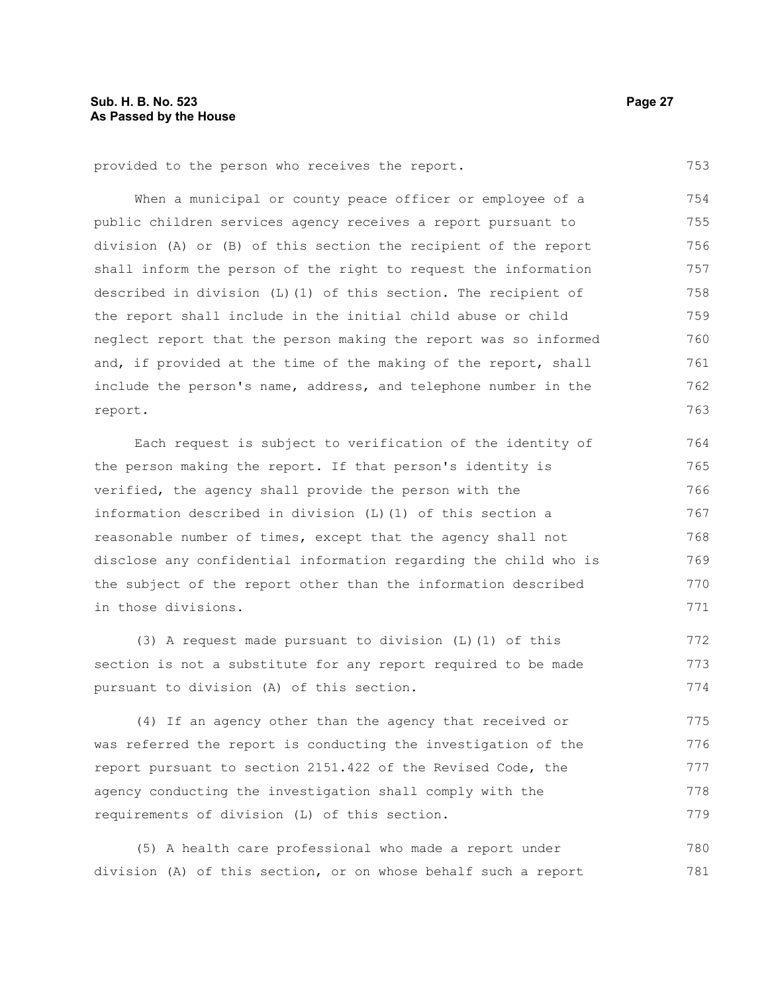provided to the person who receives the report.

When a municipal or county peace officer or employee of a public children services agency receives a report pursuant to division (A) or (B) of this section the recipient of the report shall inform the person of the right to request the information described in division (L)(1) of this section. The recipient of the report shall include in the initial child abuse or child neglect report that the person making the report was so informed and, if provided at the time of the making of the report, shall include the person's name, address, and telephone number in the report. 754 755 756 757 758 759 760 761 762 763

Each request is subject to verification of the identity of the person making the report. If that person's identity is verified, the agency shall provide the person with the information described in division (L)(1) of this section a reasonable number of times, except that the agency shall not disclose any confidential information regarding the child who is the subject of the report other than the information described in those divisions. 764 765 766 767 768 769 770 771

(3) A request made pursuant to division (L)(1) of this section is not a substitute for any report required to be made pursuant to division (A) of this section. 772 773 774

(4) If an agency other than the agency that received or was referred the report is conducting the investigation of the report pursuant to section 2151.422 of the Revised Code, the agency conducting the investigation shall comply with the requirements of division (L) of this section. 775 776 777 778 779

(5) A health care professional who made a report under division (A) of this section, or on whose behalf such a report 780 781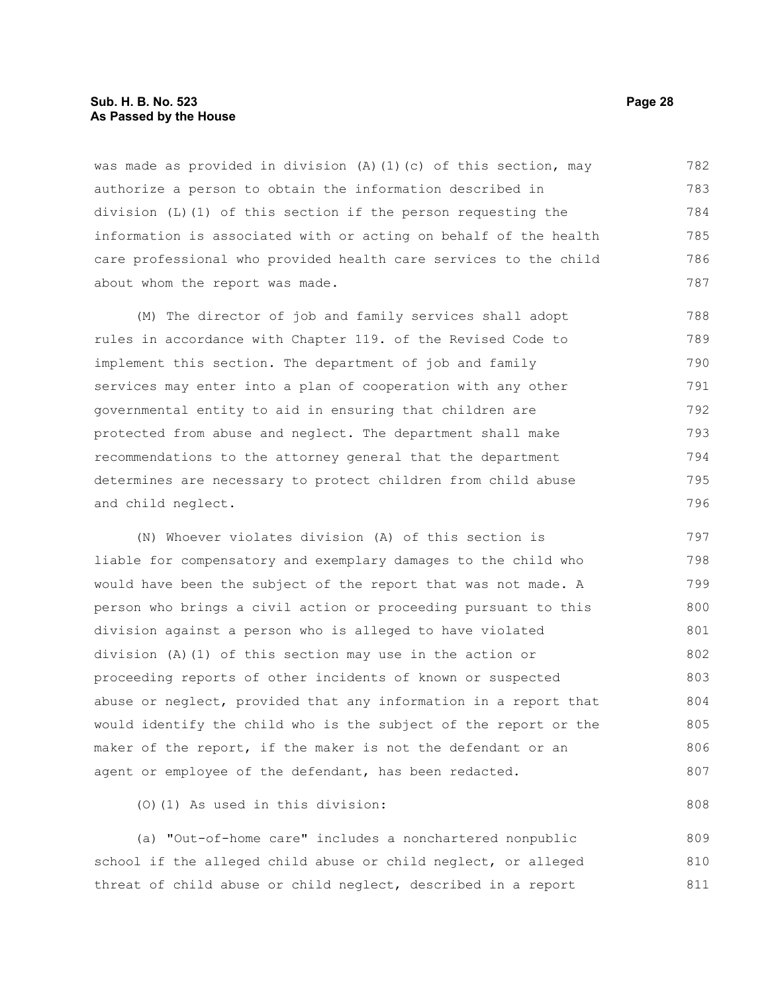#### **Sub. H. B. No. 523 Page 28 As Passed by the House**

was made as provided in division  $(A)$   $(1)$   $(c)$  of this section, may authorize a person to obtain the information described in division (L)(1) of this section if the person requesting the information is associated with or acting on behalf of the health care professional who provided health care services to the child about whom the report was made. 782 783 784 785 786 787

(M) The director of job and family services shall adopt rules in accordance with Chapter 119. of the Revised Code to implement this section. The department of job and family services may enter into a plan of cooperation with any other governmental entity to aid in ensuring that children are protected from abuse and neglect. The department shall make recommendations to the attorney general that the department determines are necessary to protect children from child abuse and child neglect. 788 789 790 791 792 793 794 795 796

(N) Whoever violates division (A) of this section is liable for compensatory and exemplary damages to the child who would have been the subject of the report that was not made. A person who brings a civil action or proceeding pursuant to this division against a person who is alleged to have violated division (A)(1) of this section may use in the action or proceeding reports of other incidents of known or suspected abuse or neglect, provided that any information in a report that would identify the child who is the subject of the report or the maker of the report, if the maker is not the defendant or an agent or employee of the defendant, has been redacted. 797 798 799 800 801 802 803 804 805 806 807

(O)(1) As used in this division:

(a) "Out-of-home care" includes a nonchartered nonpublic school if the alleged child abuse or child neglect, or alleged threat of child abuse or child neglect, described in a report 809 810 811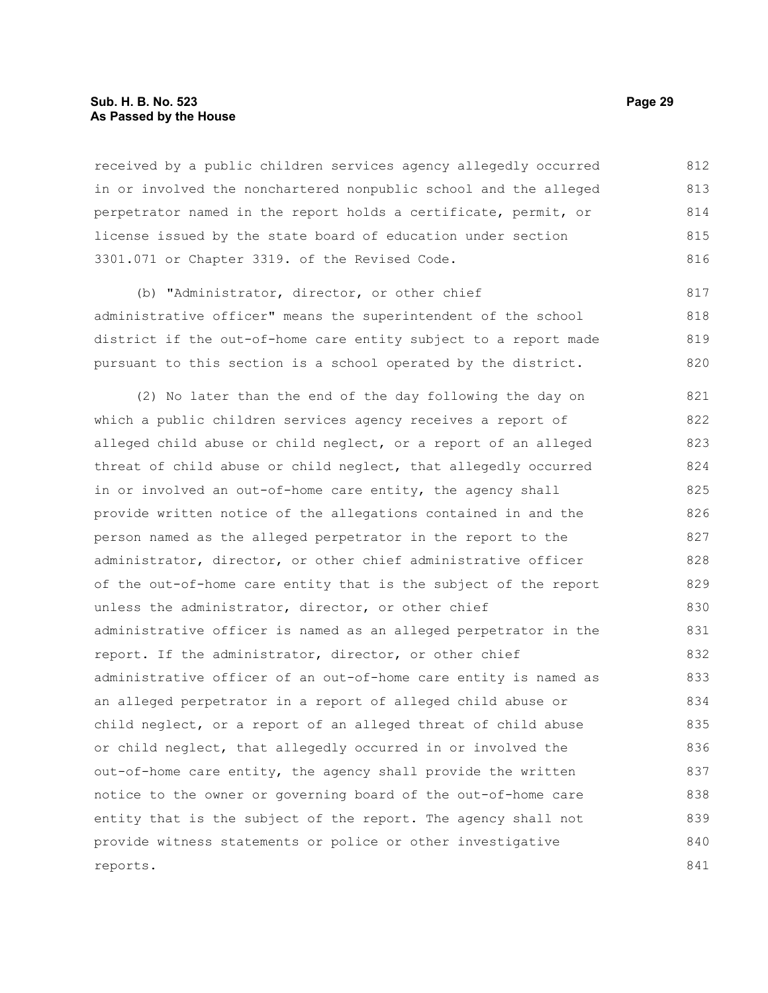#### **Sub. H. B. No. 523 Page 29 As Passed by the House**

received by a public children services agency allegedly occurred in or involved the nonchartered nonpublic school and the alleged perpetrator named in the report holds a certificate, permit, or license issued by the state board of education under section 3301.071 or Chapter 3319. of the Revised Code. 812 813 814 815 816

(b) "Administrator, director, or other chief administrative officer" means the superintendent of the school district if the out-of-home care entity subject to a report made pursuant to this section is a school operated by the district. 817 818 819 820

(2) No later than the end of the day following the day on which a public children services agency receives a report of alleged child abuse or child neglect, or a report of an alleged threat of child abuse or child neglect, that allegedly occurred in or involved an out-of-home care entity, the agency shall provide written notice of the allegations contained in and the person named as the alleged perpetrator in the report to the administrator, director, or other chief administrative officer of the out-of-home care entity that is the subject of the report unless the administrator, director, or other chief administrative officer is named as an alleged perpetrator in the report. If the administrator, director, or other chief administrative officer of an out-of-home care entity is named as an alleged perpetrator in a report of alleged child abuse or child neglect, or a report of an alleged threat of child abuse or child neglect, that allegedly occurred in or involved the out-of-home care entity, the agency shall provide the written notice to the owner or governing board of the out-of-home care entity that is the subject of the report. The agency shall not provide witness statements or police or other investigative reports. 821 822 823 824 825 826 827 828 829 830 831 832 833 834 835 836 837 838 839 840 841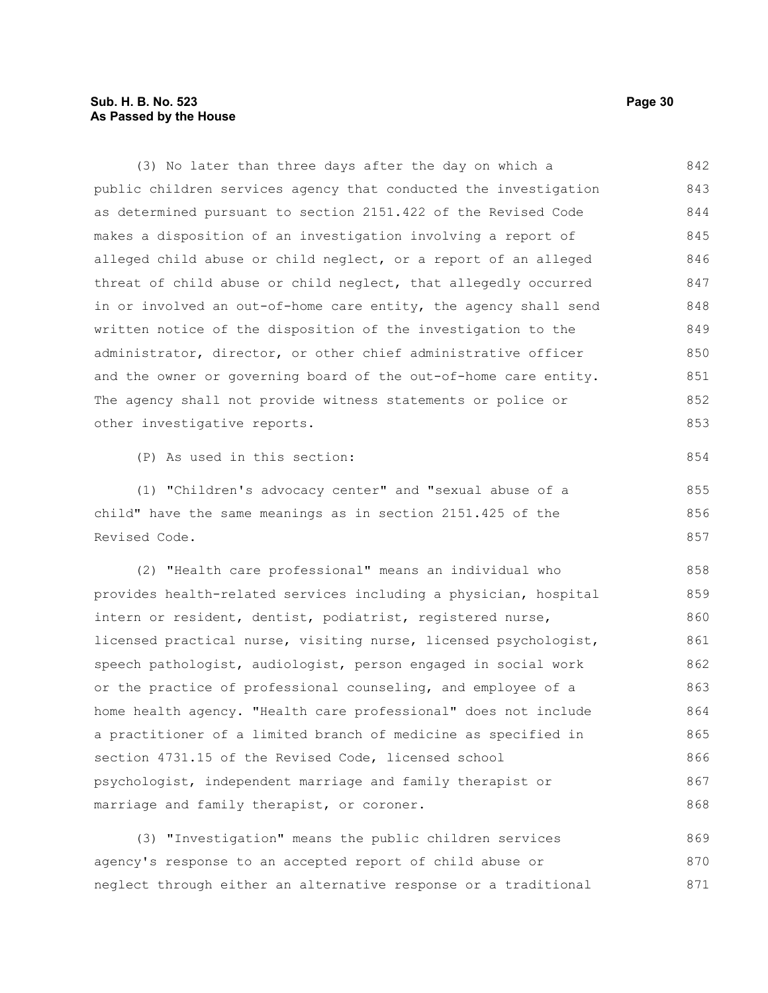### **Sub. H. B. No. 523 Page 30 As Passed by the House**

(3) No later than three days after the day on which a public children services agency that conducted the investigation as determined pursuant to section 2151.422 of the Revised Code makes a disposition of an investigation involving a report of alleged child abuse or child neglect, or a report of an alleged threat of child abuse or child neglect, that allegedly occurred in or involved an out-of-home care entity, the agency shall send written notice of the disposition of the investigation to the administrator, director, or other chief administrative officer and the owner or governing board of the out-of-home care entity. The agency shall not provide witness statements or police or other investigative reports. (P) As used in this section: (1) "Children's advocacy center" and "sexual abuse of a child" have the same meanings as in section 2151.425 of the Revised Code. (2) "Health care professional" means an individual who provides health-related services including a physician, hospital intern or resident, dentist, podiatrist, registered nurse, licensed practical nurse, visiting nurse, licensed psychologist, speech pathologist, audiologist, person engaged in social work or the practice of professional counseling, and employee of a home health agency. "Health care professional" does not include a practitioner of a limited branch of medicine as specified in section 4731.15 of the Revised Code, licensed school psychologist, independent marriage and family therapist or marriage and family therapist, or coroner. (3) "Investigation" means the public children services agency's response to an accepted report of child abuse or 842 843 844 845 846 847 848 849 850 851 852 853 854 855 856 857 858 859 860 861 862 863 864 865 866 867 868 869 870

neglect through either an alternative response or a traditional 871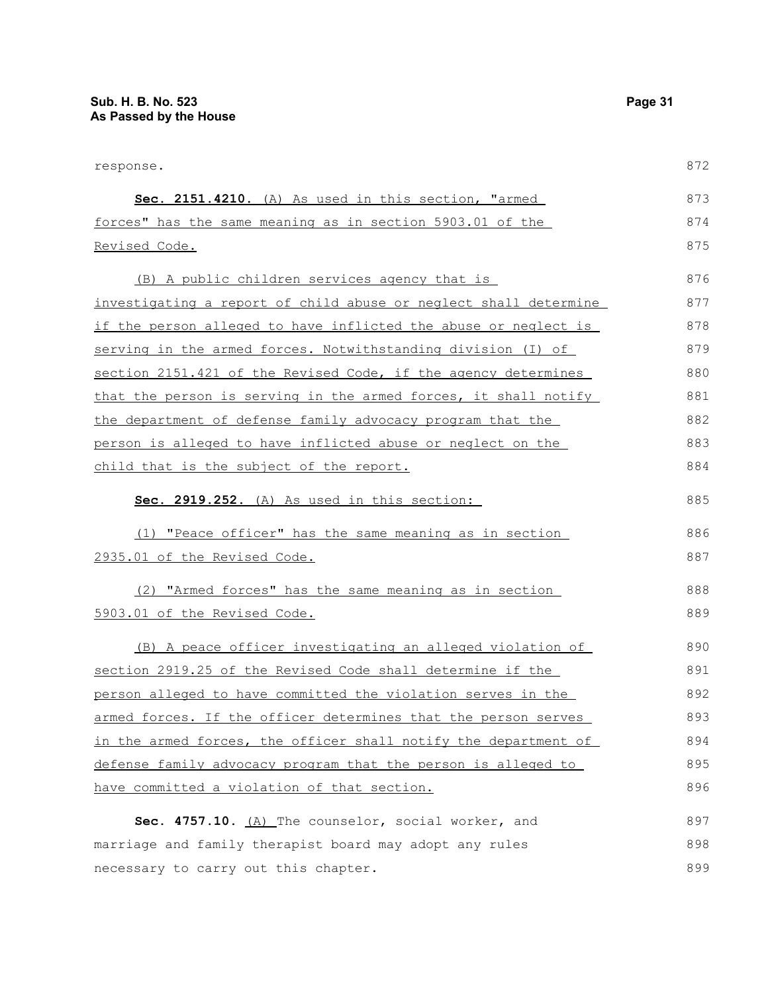response. **Sec. 2151.4210.** (A) As used in this section, "armed forces" has the same meaning as in section 5903.01 of the Revised Code. (B) A public children services agency that is investigating a report of child abuse or neglect shall determine if the person alleged to have inflicted the abuse or neglect is serving in the armed forces. Notwithstanding division (I) of section 2151.421 of the Revised Code, if the agency determines that the person is serving in the armed forces, it shall notify the department of defense family advocacy program that the person is alleged to have inflicted abuse or neglect on the child that is the subject of the report. **Sec. 2919.252.** (A) As used in this section: (1) "Peace officer" has the same meaning as in section 2935.01 of the Revised Code. (2) "Armed forces" has the same meaning as in section 5903.01 of the Revised Code. (B) A peace officer investigating an alleged violation of section 2919.25 of the Revised Code shall determine if the person alleged to have committed the violation serves in the armed forces. If the officer determines that the person serves in the armed forces, the officer shall notify the department of defense family advocacy program that the person is alleged to have committed a violation of that section. **Sec. 4757.10.** (A) The counselor, social worker, and 872 873 874 875 876 877 878 879 880 881 882 883 884 885 886 887 888 889 890 891 892 893 894 895 896 897

marriage and family therapist board may adopt any rules necessary to carry out this chapter. 898 899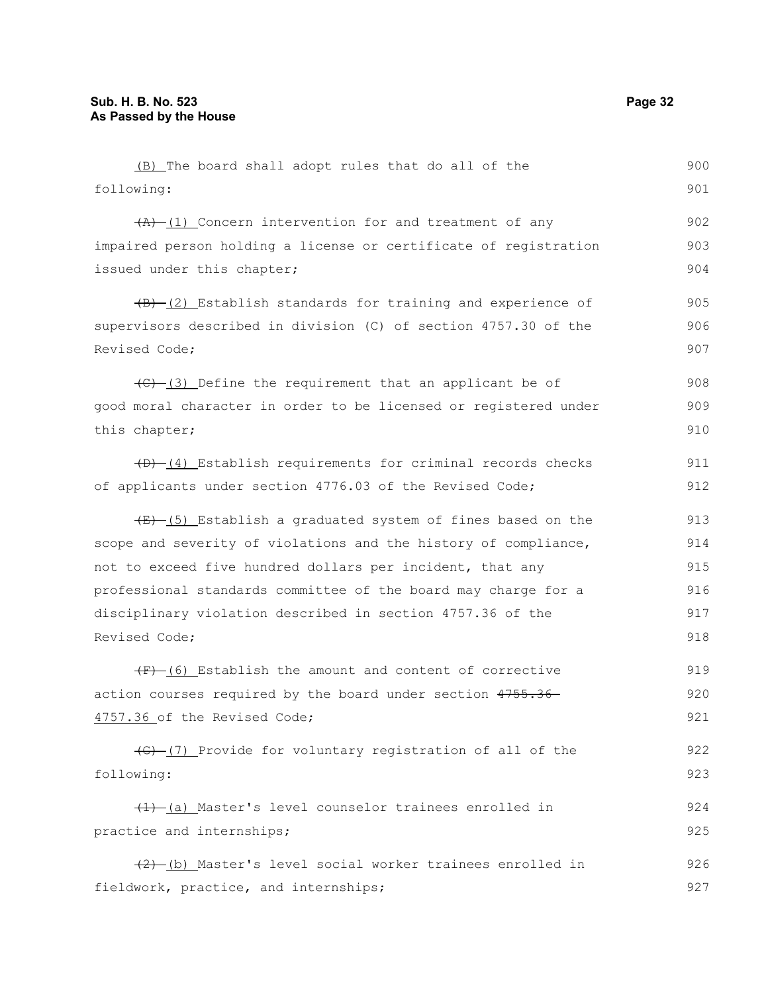(B) The board shall adopt rules that do all of the following:  $(A)$  (1) Concern intervention for and treatment of any impaired person holding a license or certificate of registration issued under this chapter;  $(B)$  (2) Establish standards for training and experience of supervisors described in division (C) of section 4757.30 of the Revised Code;  $(C)$  (3) Define the requirement that an applicant be of good moral character in order to be licensed or registered under this chapter;  $(D)$  (4) Establish requirements for criminal records checks of applicants under section 4776.03 of the Revised Code;  $(E)$  (5) Establish a graduated system of fines based on the scope and severity of violations and the history of compliance, not to exceed five hundred dollars per incident, that any professional standards committee of the board may charge for a disciplinary violation described in section 4757.36 of the Revised Code;  $(F)$  (6) Establish the amount and content of corrective action courses required by the board under section 4755.36- 4757.36 of the Revised Code; (G) (7) Provide for voluntary registration of all of the following: (1) (a) Master's level counselor trainees enrolled in practice and internships;  $(2)$  (b) Master's level social worker trainees enrolled in fieldwork, practice, and internships; 900 901 902 903 904 905 906 907 908 909 910 911 912 913 914 915 916 917 918 919 920 921 922 923 924 925 926 927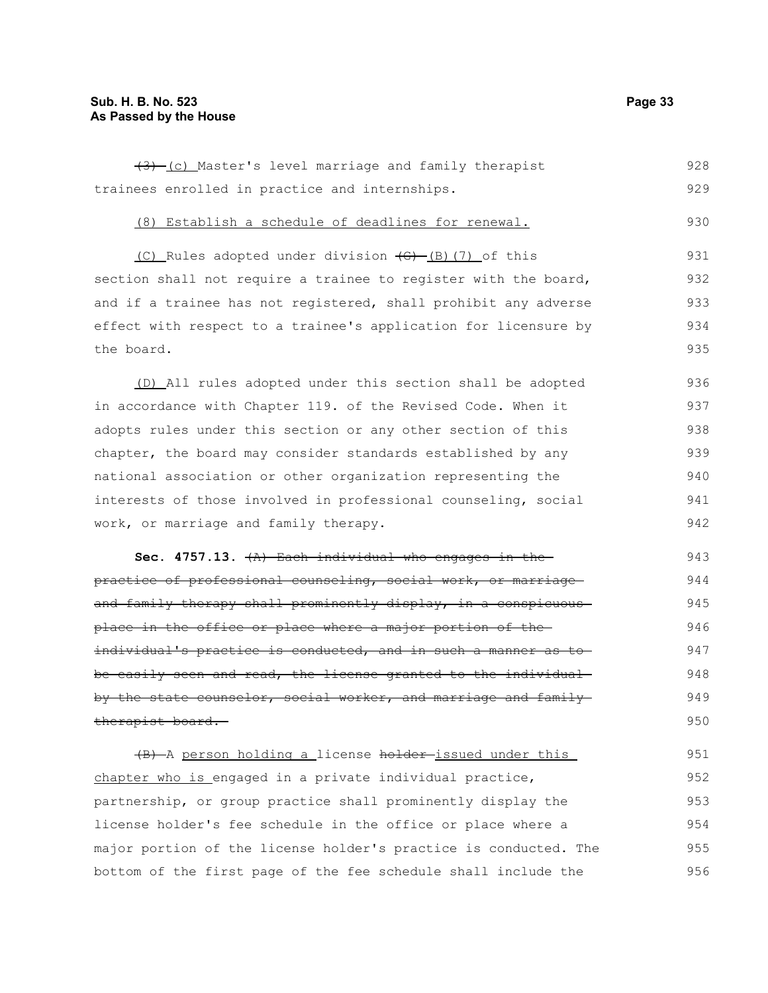trainees enrolled in practice and internships. (8) Establish a schedule of deadlines for renewal. (C) Rules adopted under division  $\left(\frac{G}{B}\right)$  (7) of this section shall not require a trainee to register with the board, and if a trainee has not registered, shall prohibit any adverse effect with respect to a trainee's application for licensure by the board. (D) All rules adopted under this section shall be adopted in accordance with Chapter 119. of the Revised Code. When it adopts rules under this section or any other section of this chapter, the board may consider standards established by any national association or other organization representing the interests of those involved in professional counseling, social work, or marriage and family therapy. **Sec. 4757.13.** (A) Each individual who engages in the practice of professional counseling, social work, or marriage and family therapy shall prominently display, in a conspicuousplace in the office or place where a major portion of the individual's practice is conducted, and in such a manner as tobe easily seen and read, the license granted to the individual by the state counselor, social worker, and marriage and family therapist board. (B) A person holding a license holder issued under this chapter who is engaged in a private individual practice, partnership, or group practice shall prominently display the 929 930 931 932 933 934 935 936 937 938 939 940 941 942 943 944 945 946 947 948 949 950 951 952 953

(3) (c) Master's level marriage and family therapist

license holder's fee schedule in the office or place where a major portion of the license holder's practice is conducted. The bottom of the first page of the fee schedule shall include the 954 955 956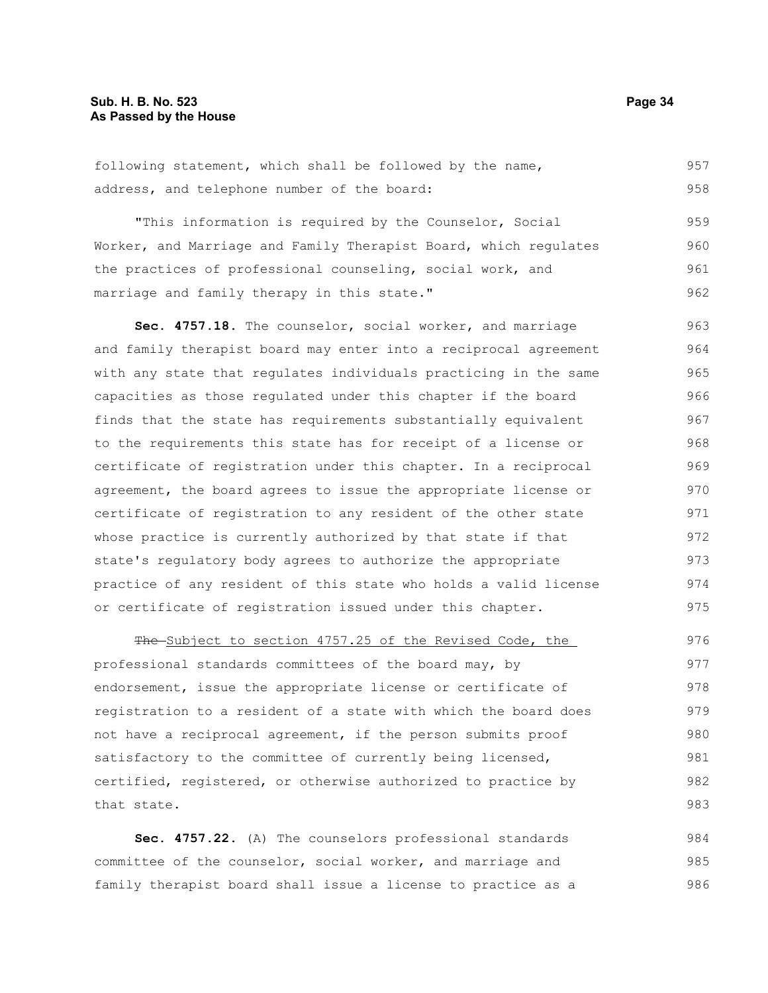following statement, which shall be followed by the name, address, and telephone number of the board: 957 958

"This information is required by the Counselor, Social Worker, and Marriage and Family Therapist Board, which regulates the practices of professional counseling, social work, and marriage and family therapy in this state." 959 960 961 962

**Sec. 4757.18.** The counselor, social worker, and marriage and family therapist board may enter into a reciprocal agreement with any state that regulates individuals practicing in the same capacities as those regulated under this chapter if the board finds that the state has requirements substantially equivalent to the requirements this state has for receipt of a license or certificate of registration under this chapter. In a reciprocal agreement, the board agrees to issue the appropriate license or certificate of registration to any resident of the other state whose practice is currently authorized by that state if that state's regulatory body agrees to authorize the appropriate practice of any resident of this state who holds a valid license or certificate of registration issued under this chapter. 963 964 965 966 967 968 969 970 971 972 973 974 975

The Subject to section 4757.25 of the Revised Code, the professional standards committees of the board may, by endorsement, issue the appropriate license or certificate of registration to a resident of a state with which the board does not have a reciprocal agreement, if the person submits proof satisfactory to the committee of currently being licensed, certified, registered, or otherwise authorized to practice by that state. 976 977 978 979 980 981 982 983

**Sec. 4757.22.** (A) The counselors professional standards committee of the counselor, social worker, and marriage and family therapist board shall issue a license to practice as a 984 985 986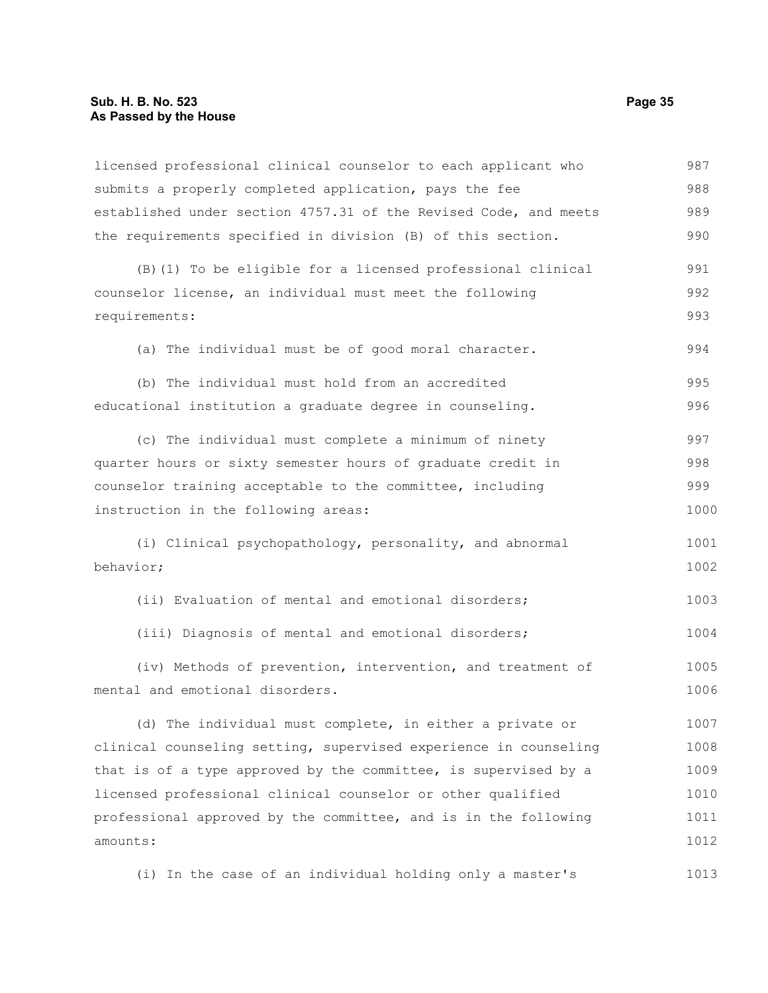#### **Sub. H. B. No. 523 Page 35 As Passed by the House**

amounts:

licensed professional clinical counselor to each applicant who submits a properly completed application, pays the fee established under section 4757.31 of the Revised Code, and meets the requirements specified in division (B) of this section. (B)(1) To be eligible for a licensed professional clinical counselor license, an individual must meet the following requirements: (a) The individual must be of good moral character. (b) The individual must hold from an accredited educational institution a graduate degree in counseling. (c) The individual must complete a minimum of ninety quarter hours or sixty semester hours of graduate credit in counselor training acceptable to the committee, including instruction in the following areas: (i) Clinical psychopathology, personality, and abnormal behavior; (ii) Evaluation of mental and emotional disorders; (iii) Diagnosis of mental and emotional disorders; (iv) Methods of prevention, intervention, and treatment of mental and emotional disorders. (d) The individual must complete, in either a private or clinical counseling setting, supervised experience in counseling that is of a type approved by the committee, is supervised by a licensed professional clinical counselor or other qualified professional approved by the committee, and is in the following 987 988 989 990 991 992 993 994 995 996 997 998 999 1000 1001 1002 1003 1004 1005 1006 1007 1008 1009 1010 1011

(i) In the case of an individual holding only a master's 1013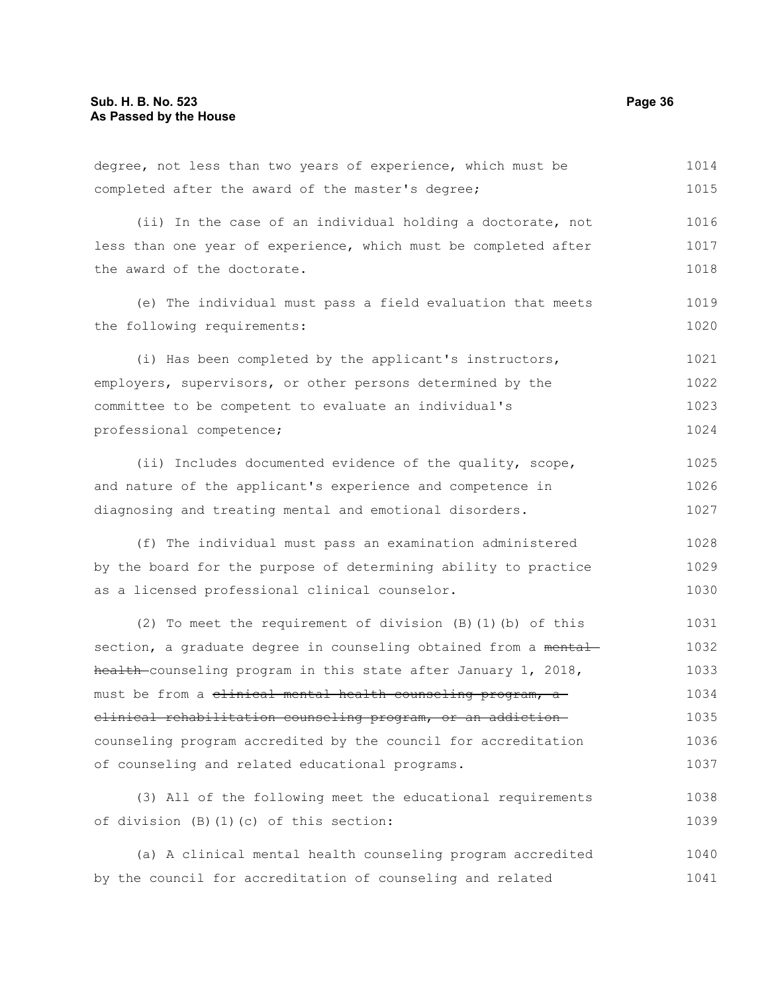degree, not less than two years of experience, which must be completed after the award of the master's degree; (ii) In the case of an individual holding a doctorate, not less than one year of experience, which must be completed after the award of the doctorate. (e) The individual must pass a field evaluation that meets the following requirements: (i) Has been completed by the applicant's instructors, employers, supervisors, or other persons determined by the committee to be competent to evaluate an individual's professional competence; (ii) Includes documented evidence of the quality, scope, and nature of the applicant's experience and competence in diagnosing and treating mental and emotional disorders. (f) The individual must pass an examination administered by the board for the purpose of determining ability to practice as a licensed professional clinical counselor. (2) To meet the requirement of division (B)(1)(b) of this section, a graduate degree in counseling obtained from a mentalhealth counseling program in this state after January 1, 2018, must be from a clinical mental health counseling program, a clinical rehabilitation counseling program, or an addiction counseling program accredited by the council for accreditation 1014 1015 1016 1017 1018 1019 1020 1021 1022 1023 1024 1025 1026 1027 1028 1029 1030 1031 1032 1033 1034 1035 1036

(3) All of the following meet the educational requirements of division (B)(1)(c) of this section: 1038 1039

of counseling and related educational programs.

(a) A clinical mental health counseling program accredited by the council for accreditation of counseling and related 1040 1041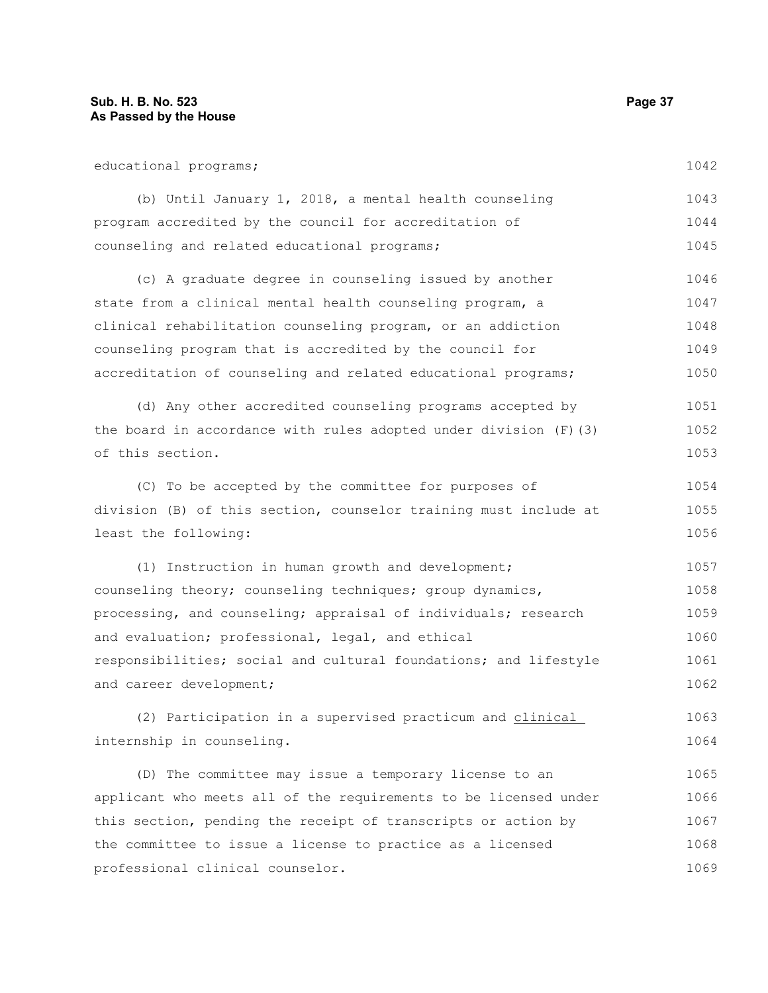educational programs; (b) Until January 1, 2018, a mental health counseling program accredited by the council for accreditation of counseling and related educational programs; (c) A graduate degree in counseling issued by another state from a clinical mental health counseling program, a clinical rehabilitation counseling program, or an addiction counseling program that is accredited by the council for accreditation of counseling and related educational programs; (d) Any other accredited counseling programs accepted by the board in accordance with rules adopted under division  $(F)$  (3) of this section. (C) To be accepted by the committee for purposes of division (B) of this section, counselor training must include at least the following: (1) Instruction in human growth and development; counseling theory; counseling techniques; group dynamics, processing, and counseling; appraisal of individuals; research and evaluation; professional, legal, and ethical responsibilities; social and cultural foundations; and lifestyle and career development; (2) Participation in a supervised practicum and clinical internship in counseling. (D) The committee may issue a temporary license to an 1042 1043 1044 1045 1046 1047 1048 1049 1050 1051 1052 1053 1054 1055 1056 1057 1058 1059 1060 1061 1062 1063 1064 1065

applicant who meets all of the requirements to be licensed under this section, pending the receipt of transcripts or action by the committee to issue a license to practice as a licensed professional clinical counselor. 1066 1067 1068 1069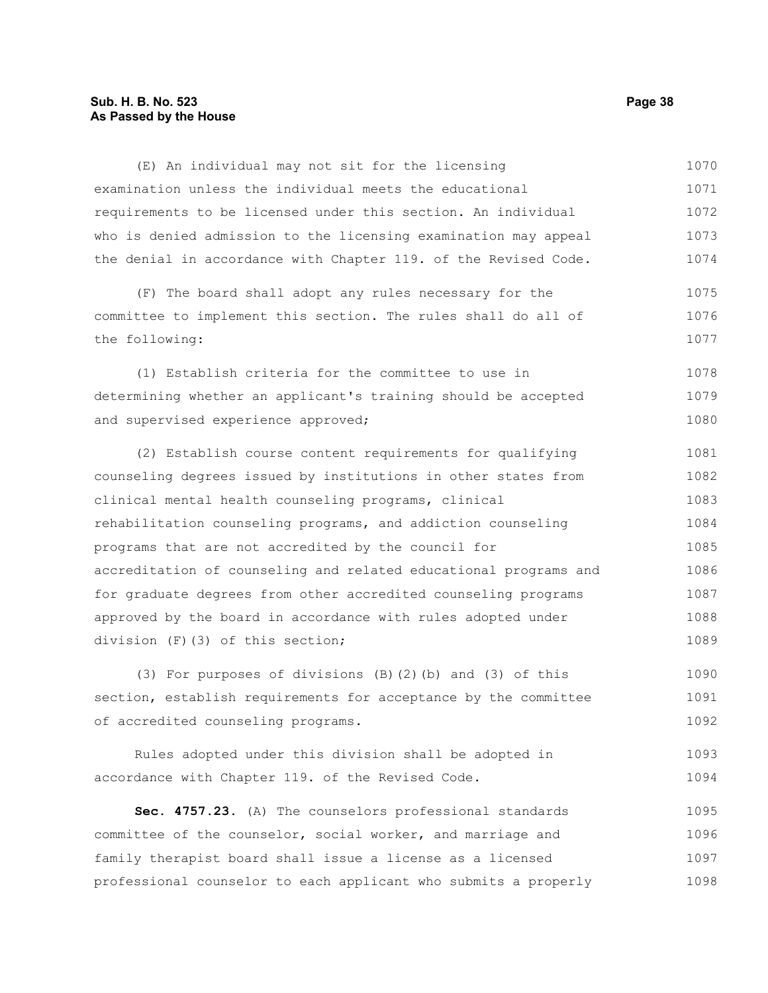#### **Sub. H. B. No. 523 Page 38 As Passed by the House**

(E) An individual may not sit for the licensing examination unless the individual meets the educational requirements to be licensed under this section. An individual who is denied admission to the licensing examination may appeal the denial in accordance with Chapter 119. of the Revised Code. (F) The board shall adopt any rules necessary for the committee to implement this section. The rules shall do all of the following: (1) Establish criteria for the committee to use in determining whether an applicant's training should be accepted and supervised experience approved; (2) Establish course content requirements for qualifying counseling degrees issued by institutions in other states from clinical mental health counseling programs, clinical rehabilitation counseling programs, and addiction counseling programs that are not accredited by the council for accreditation of counseling and related educational programs and for graduate degrees from other accredited counseling programs approved by the board in accordance with rules adopted under division (F)(3) of this section; (3) For purposes of divisions (B)(2)(b) and (3) of this section, establish requirements for acceptance by the committee of accredited counseling programs. Rules adopted under this division shall be adopted in accordance with Chapter 119. of the Revised Code. 1070 1071 1072 1073 1074 1075 1076 1077 1078 1079 1080 1081 1082 1083 1084 1085 1086 1087 1088 1089 1090 1091 1092 1093 1094

**Sec. 4757.23.** (A) The counselors professional standards committee of the counselor, social worker, and marriage and family therapist board shall issue a license as a licensed professional counselor to each applicant who submits a properly 1095 1096 1097 1098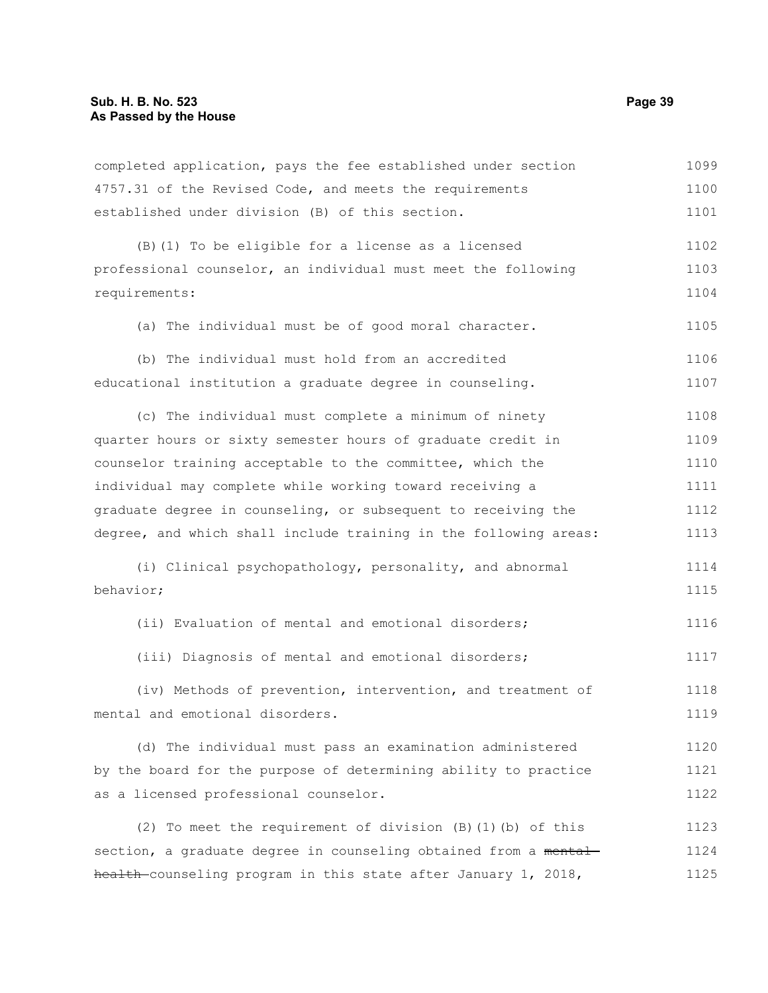completed application, pays the fee established under section 4757.31 of the Revised Code, and meets the requirements established under division (B) of this section. (B)(1) To be eligible for a license as a licensed professional counselor, an individual must meet the following requirements: (a) The individual must be of good moral character. (b) The individual must hold from an accredited educational institution a graduate degree in counseling. (c) The individual must complete a minimum of ninety quarter hours or sixty semester hours of graduate credit in counselor training acceptable to the committee, which the individual may complete while working toward receiving a graduate degree in counseling, or subsequent to receiving the degree, and which shall include training in the following areas: (i) Clinical psychopathology, personality, and abnormal behavior; (ii) Evaluation of mental and emotional disorders; (iii) Diagnosis of mental and emotional disorders; 1099 1100 1101 1102 1103 1104 1105 1106 1107 1108 1109 1110 1111 1112 1113 1114 1115 1116 1117

(iv) Methods of prevention, intervention, and treatment of mental and emotional disorders. 1118 1119

(d) The individual must pass an examination administered by the board for the purpose of determining ability to practice as a licensed professional counselor. 1120 1121 1122

(2) To meet the requirement of division (B)(1)(b) of this section, a graduate degree in counseling obtained from a mentalhealth counseling program in this state after January 1, 2018, 1123 1124 1125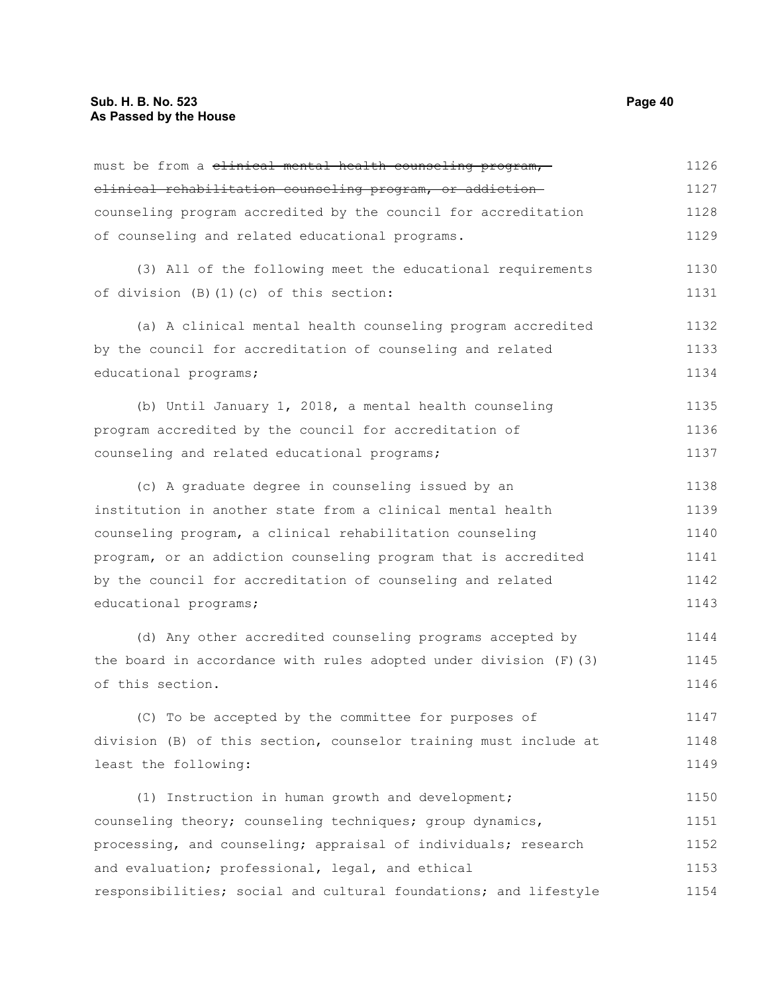must be from a clinical mental health counseling program,clinical rehabilitation counseling program, or addiction counseling program accredited by the council for accreditation of counseling and related educational programs. (3) All of the following meet the educational requirements of division (B)(1)(c) of this section: (a) A clinical mental health counseling program accredited by the council for accreditation of counseling and related educational programs; (b) Until January 1, 2018, a mental health counseling program accredited by the council for accreditation of counseling and related educational programs; (c) A graduate degree in counseling issued by an institution in another state from a clinical mental health counseling program, a clinical rehabilitation counseling program, or an addiction counseling program that is accredited by the council for accreditation of counseling and related educational programs; (d) Any other accredited counseling programs accepted by the board in accordance with rules adopted under division  $(F)$  (3) of this section. (C) To be accepted by the committee for purposes of division (B) of this section, counselor training must include at least the following: (1) Instruction in human growth and development; counseling theory; counseling techniques; group dynamics, processing, and counseling; appraisal of individuals; research and evaluation; professional, legal, and ethical responsibilities; social and cultural foundations; and lifestyle 1126 1127 1128 1129 1130 1131 1132 1133 1134 1135 1136 1137 1138 1139 1140 1141 1142 1143 1144 1145 1146 1147 1148 1149 1150 1151 1152 1153 1154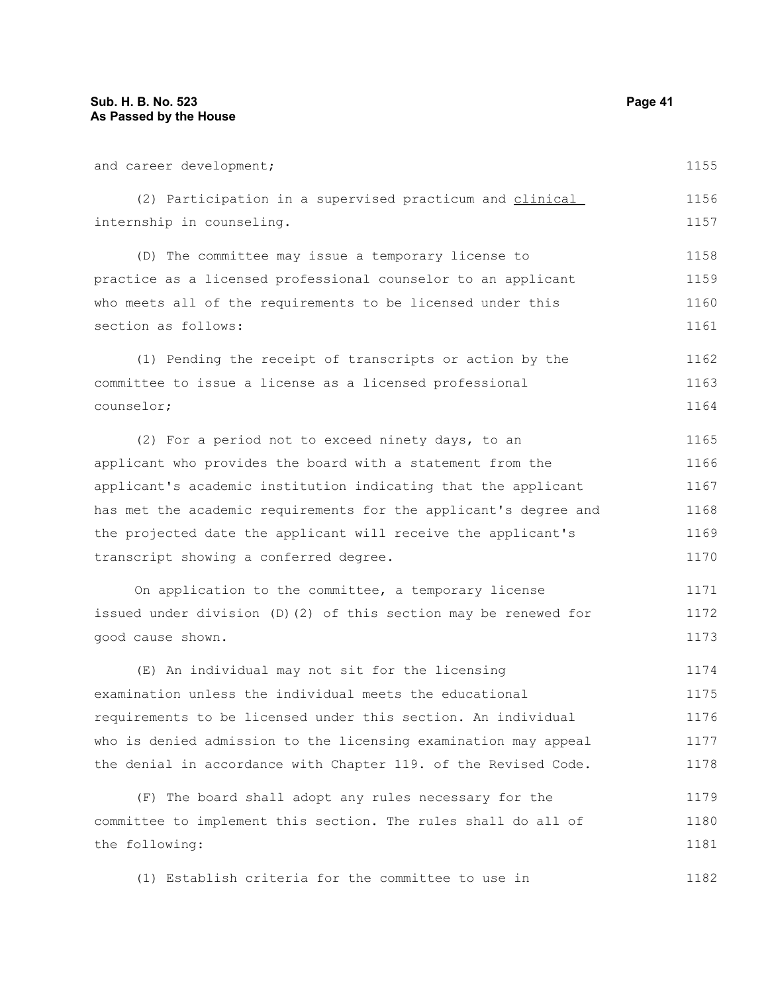| and career development;                                          | 1155 |
|------------------------------------------------------------------|------|
| (2) Participation in a supervised practicum and clinical         | 1156 |
| internship in counseling.                                        | 1157 |
| (D) The committee may issue a temporary license to               | 1158 |
| practice as a licensed professional counselor to an applicant    | 1159 |
| who meets all of the requirements to be licensed under this      | 1160 |
| section as follows:                                              | 1161 |
| (1) Pending the receipt of transcripts or action by the          | 1162 |
| committee to issue a license as a licensed professional          | 1163 |
| counselor;                                                       | 1164 |
| (2) For a period not to exceed ninety days, to an                | 1165 |
| applicant who provides the board with a statement from the       | 1166 |
| applicant's academic institution indicating that the applicant   | 1167 |
| has met the academic requirements for the applicant's degree and | 1168 |
| the projected date the applicant will receive the applicant's    | 1169 |
| transcript showing a conferred degree.                           | 1170 |
| On application to the committee, a temporary license             | 1171 |
| issued under division (D)(2) of this section may be renewed for  | 1172 |
| good cause shown.                                                | 1173 |
| (E) An individual may not sit for the licensing                  | 1174 |
| examination unless the individual meets the educational          | 1175 |
| requirements to be licensed under this section. An individual    | 1176 |
| who is denied admission to the licensing examination may appeal  | 1177 |
| the denial in accordance with Chapter 119. of the Revised Code.  | 1178 |
| (F) The board shall adopt any rules necessary for the            | 1179 |
| committee to implement this section. The rules shall do all of   | 1180 |
| the following:                                                   | 1181 |
| (1) Establish criteria for the committee to use in               | 1182 |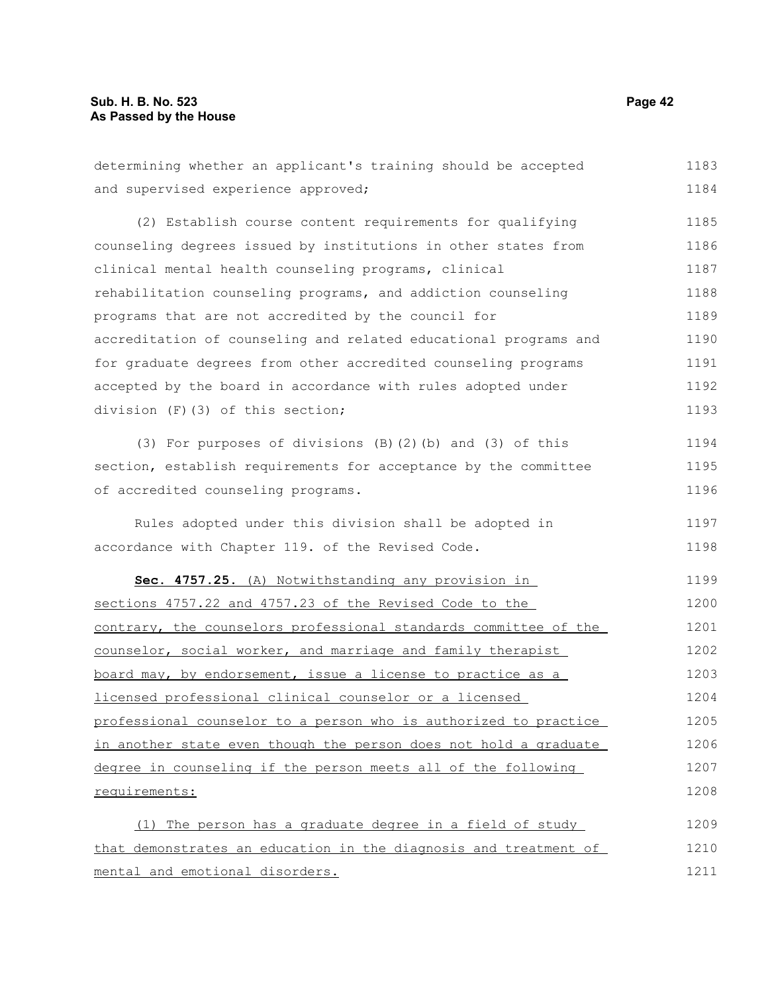determining whether an applicant's training should be accepted and supervised experience approved; (2) Establish course content requirements for qualifying counseling degrees issued by institutions in other states from clinical mental health counseling programs, clinical rehabilitation counseling programs, and addiction counseling programs that are not accredited by the council for accreditation of counseling and related educational programs and for graduate degrees from other accredited counseling programs accepted by the board in accordance with rules adopted under division (F)(3) of this section; (3) For purposes of divisions (B)(2)(b) and (3) of this section, establish requirements for acceptance by the committee of accredited counseling programs. Rules adopted under this division shall be adopted in accordance with Chapter 119. of the Revised Code. **Sec. 4757.25.** (A) Notwithstanding any provision in 1184 1185 1186 1187 1188 1189 1190 1191 1192 1193 1194 1195 1196 1197 1198 1199

sections 4757.22 and 4757.23 of the Revised Code to the contrary, the counselors professional standards committee of the counselor, social worker, and marriage and family therapist board may, by endorsement, issue a license to practice as a licensed professional clinical counselor or a licensed professional counselor to a person who is authorized to practice in another state even though the person does not hold a graduate degree in counseling if the person meets all of the following requirements: 1200 1201 1202 1203 1204 1205 1206 1207 1208

(1) The person has a graduate degree in a field of study that demonstrates an education in the diagnosis and treatment of mental and emotional disorders. 1209 1210 1211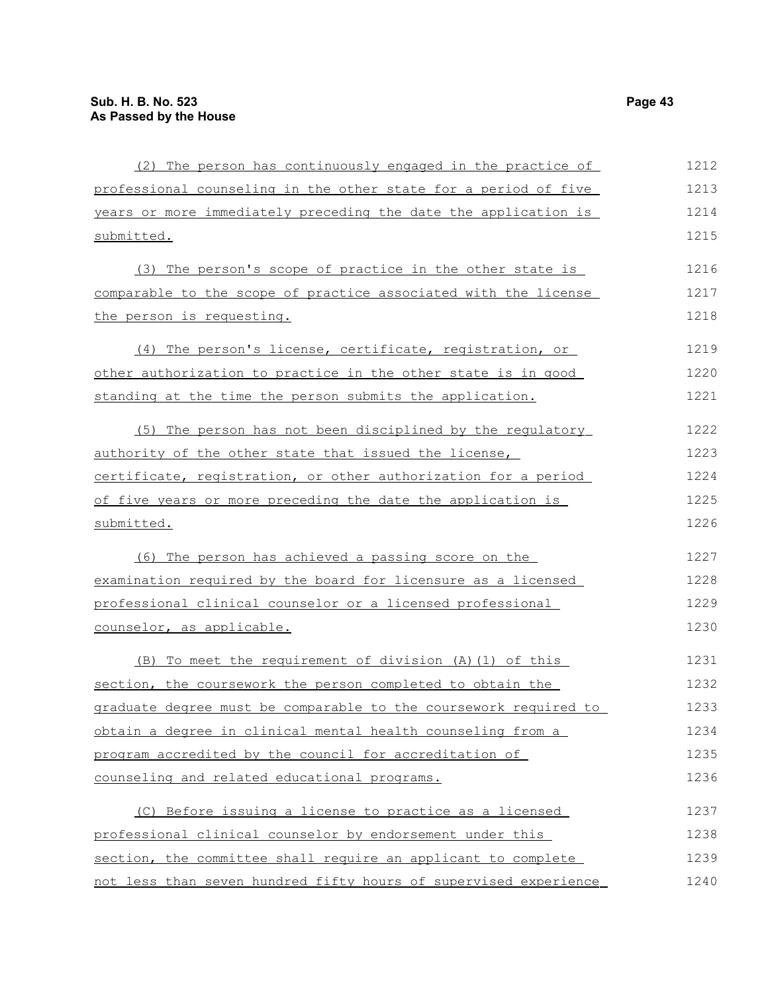| (2) The person has continuously engaged in the practice of       | 1212 |
|------------------------------------------------------------------|------|
| professional counseling in the other state for a period of five  | 1213 |
| years or more immediately preceding the date the application is  | 1214 |
| submitted.                                                       | 1215 |
| (3) The person's scope of practice in the other state is         | 1216 |
| comparable to the scope of practice associated with the license  | 1217 |
| the person is requesting.                                        | 1218 |
| (4) The person's license, certificate, registration, or          | 1219 |
| other authorization to practice in the other state is in good    | 1220 |
| standing at the time the person submits the application.         | 1221 |
| (5) The person has not been disciplined by the regulatory        | 1222 |
| authority of the other state that issued the license,            | 1223 |
| certificate, registration, or other authorization for a period   | 1224 |
| of five years or more preceding the date the application is      | 1225 |
| submitted.                                                       | 1226 |
| (6) The person has achieved a passing score on the               | 1227 |
| examination required by the board for licensure as a licensed    | 1228 |
| professional clinical counselor or a licensed professional       | 1229 |
| counselor, as applicable.                                        | 1230 |
| (B) To meet the requirement of division (A) (1) of this          | 1231 |
| section, the coursework the person completed to obtain the       | 1232 |
| graduate degree must be comparable to the coursework required to | 1233 |
| obtain a degree in clinical mental health counseling from a      | 1234 |
| program accredited by the council for accreditation of           | 1235 |
| counseling and related educational programs.                     | 1236 |
| (C) Before issuing a license to practice as a licensed           | 1237 |
| professional clinical counselor by endorsement under this        | 1238 |
| section, the committee shall require an applicant to complete    | 1239 |
| not less than seven hundred fifty hours of supervised experience | 1240 |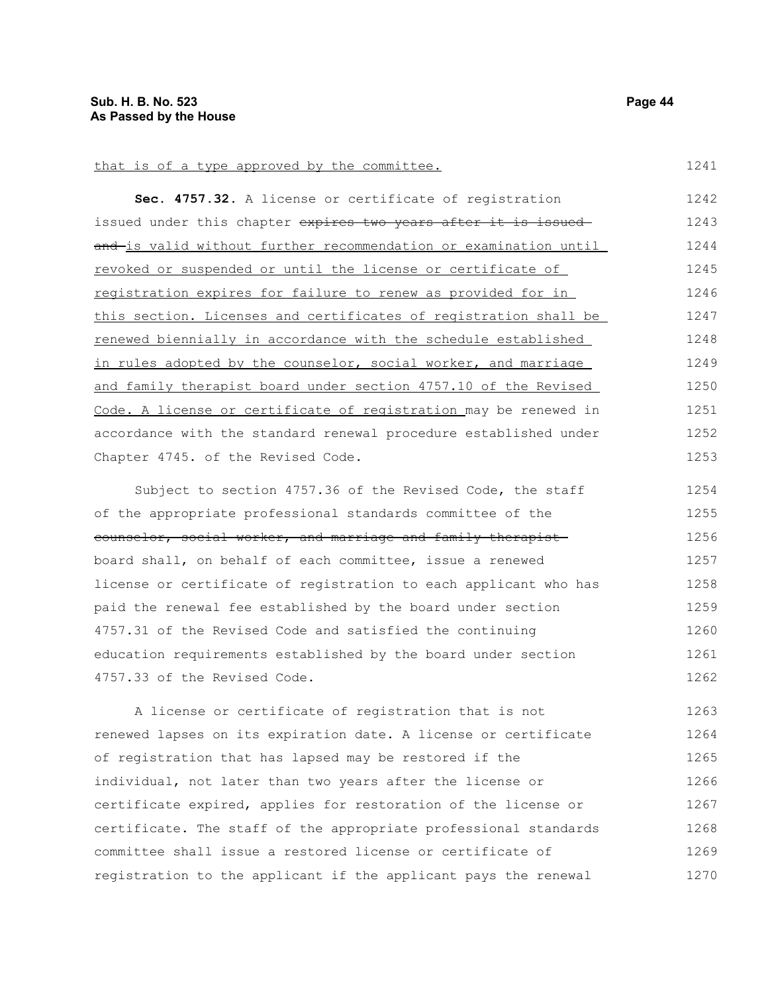#### that is of a type approved by the committee.

**Sec. 4757.32.** A license or certificate of registration issued under this chapter expires two years after it is issuedand is valid without further recommendation or examination until revoked or suspended or until the license or certificate of registration expires for failure to renew as provided for in this section. Licenses and certificates of registration shall be renewed biennially in accordance with the schedule established in rules adopted by the counselor, social worker, and marriage and family therapist board under section 4757.10 of the Revised Code. A license or certificate of registration may be renewed in accordance with the standard renewal procedure established under Chapter 4745. of the Revised Code. 1242 1243 1244 1245 1246 1247 1248 1249 1250 1251 1252 1253

Subject to section 4757.36 of the Revised Code, the staff of the appropriate professional standards committee of the counselor, social worker, and marriage and family therapist board shall, on behalf of each committee, issue a renewed license or certificate of registration to each applicant who has paid the renewal fee established by the board under section 4757.31 of the Revised Code and satisfied the continuing education requirements established by the board under section 4757.33 of the Revised Code. 1254 1255 1256 1257 1258 1259 1260 1261 1262

A license or certificate of registration that is not renewed lapses on its expiration date. A license or certificate of registration that has lapsed may be restored if the individual, not later than two years after the license or certificate expired, applies for restoration of the license or certificate. The staff of the appropriate professional standards committee shall issue a restored license or certificate of registration to the applicant if the applicant pays the renewal 1263 1264 1265 1266 1267 1268 1269 1270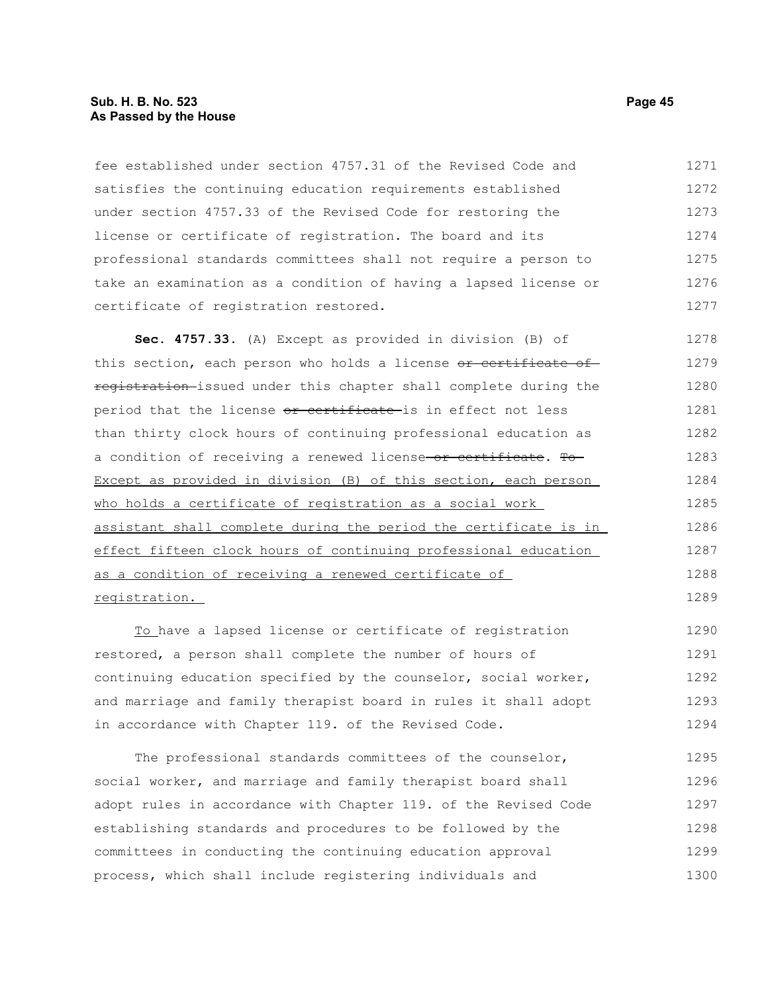#### **Sub. H. B. No. 523 Page 45 As Passed by the House**

fee established under section 4757.31 of the Revised Code and satisfies the continuing education requirements established under section 4757.33 of the Revised Code for restoring the license or certificate of registration. The board and its professional standards committees shall not require a person to take an examination as a condition of having a lapsed license or certificate of registration restored. 1271 1272 1273 1274 1275 1276 1277

**Sec. 4757.33.** (A) Except as provided in division (B) of this section, each person who holds a license or certificate of registration issued under this chapter shall complete during the period that the license or certificate-is in effect not less than thirty clock hours of continuing professional education as a condition of receiving a renewed license-or certificate. To-Except as provided in division (B) of this section, each person who holds a certificate of registration as a social work assistant shall complete during the period the certificate is in effect fifteen clock hours of continuing professional education as a condition of receiving a renewed certificate of registration. 1278 1279 1280 1281 1282 1283 1284 1285 1286 1287 1288 1289

 To have a lapsed license or certificate of registration restored, a person shall complete the number of hours of continuing education specified by the counselor, social worker, and marriage and family therapist board in rules it shall adopt in accordance with Chapter 119. of the Revised Code. 1290 1291 1292 1293 1294

The professional standards committees of the counselor, social worker, and marriage and family therapist board shall adopt rules in accordance with Chapter 119. of the Revised Code establishing standards and procedures to be followed by the committees in conducting the continuing education approval process, which shall include registering individuals and 1295 1296 1297 1298 1299 1300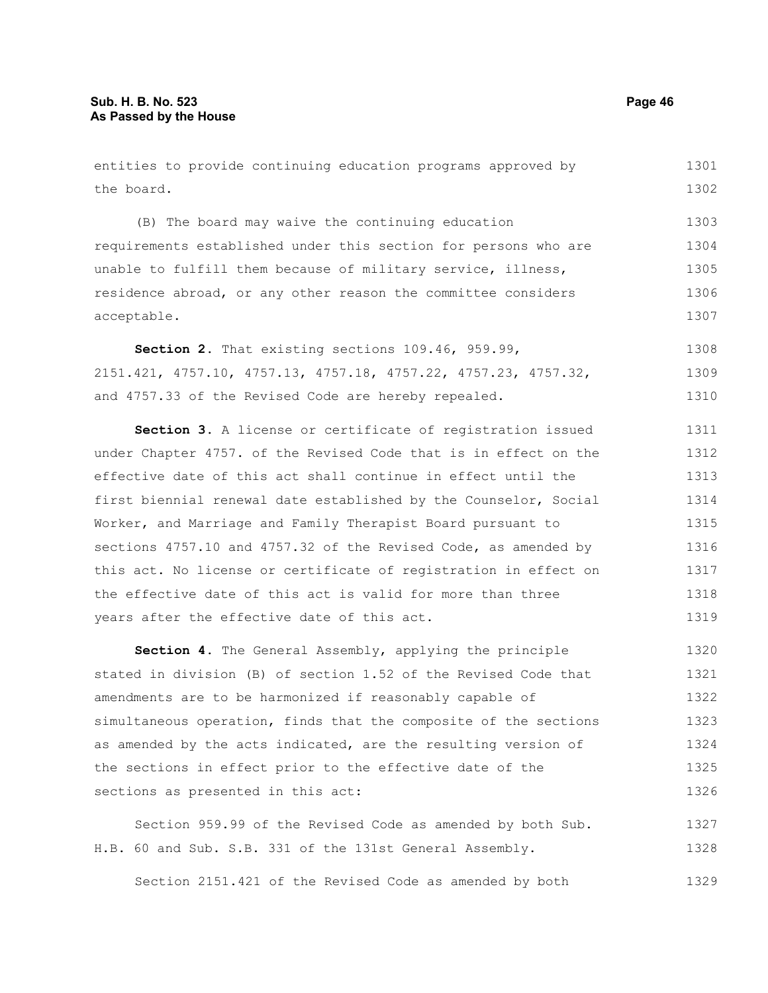entities to provide continuing education programs approved by the board. 1301 1302

(B) The board may waive the continuing education requirements established under this section for persons who are unable to fulfill them because of military service, illness, residence abroad, or any other reason the committee considers acceptable. 1303 1304 1305 1306 1307

**Section 2.** That existing sections 109.46, 959.99, 2151.421, 4757.10, 4757.13, 4757.18, 4757.22, 4757.23, 4757.32, and 4757.33 of the Revised Code are hereby repealed. 1308 1309 1310

**Section 3.** A license or certificate of registration issued under Chapter 4757. of the Revised Code that is in effect on the effective date of this act shall continue in effect until the first biennial renewal date established by the Counselor, Social Worker, and Marriage and Family Therapist Board pursuant to sections 4757.10 and 4757.32 of the Revised Code, as amended by this act. No license or certificate of registration in effect on the effective date of this act is valid for more than three years after the effective date of this act. 1311 1312 1313 1314 1315 1316 1317 1318 1319

**Section 4.** The General Assembly, applying the principle stated in division (B) of section 1.52 of the Revised Code that amendments are to be harmonized if reasonably capable of simultaneous operation, finds that the composite of the sections as amended by the acts indicated, are the resulting version of the sections in effect prior to the effective date of the sections as presented in this act: 1320 1321 1322 1323 1324 1325 1326

Section 959.99 of the Revised Code as amended by both Sub. H.B. 60 and Sub. S.B. 331 of the 131st General Assembly. 1327 1328

Section 2151.421 of the Revised Code as amended by both 1329